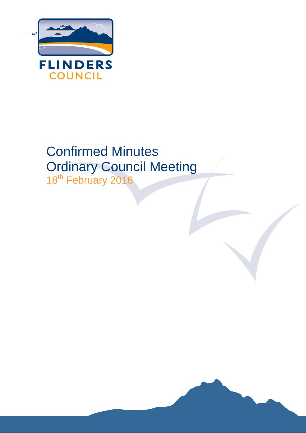

# Confirmed Minutes Ordinary Council Meeting

18<sup>th</sup> February 2016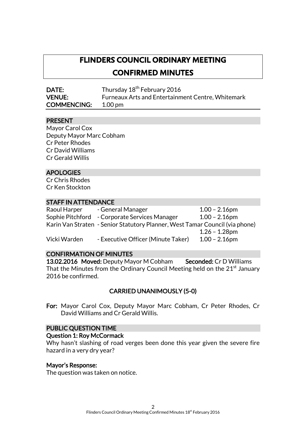# **FLINDERS COUNCIL ORDINARY MEETING CONFIRMED MINUTES**

DATE: Thursday 18<sup>th</sup> February 2016 VENUE: Furneaux Arts and Entertainment Centre, Whitemark COMMENCING: 1.00 pm

#### PRESENT

Mayor Carol Cox Deputy Mayor Marc Cobham Cr Peter Rhodes Cr David Williams Cr Gerald Willis

#### APOLOGIES

Cr Chris Rhodes Cr Ken Stockton

#### STAFF IN ATTENDANCE

| Raoul Harper | - General Manager                                                            | $1.00 - 2.16$ pm |
|--------------|------------------------------------------------------------------------------|------------------|
|              | Sophie Pitchford - Corporate Services Manager                                | $1.00 - 2.16$ pm |
|              | Karin Van Straten - Senior Statutory Planner, West Tamar Council (via phone) |                  |
|              |                                                                              | $1.26 - 1.28$ pm |
| Vicki Warden | - Executive Officer (Minute Taker)                                           | $1.00 - 2.16$ pm |

#### CONFIRMATION OF MINUTES

13.02.2016 Moved: Deputy Mayor M Cobham Seconded: Cr D Williams That the Minutes from the Ordinary Council Meeting held on the  $21<sup>st</sup>$  January 2016 be confirmed.

# CARRIED UNANIMOUSLY (5-0)

For: Mayor Carol Cox, Deputy Mayor Marc Cobham, Cr Peter Rhodes, Cr David Williams and Cr Gerald Willis.

#### PUBLIC QUESTION TIME

#### Question 1: Roy McCormack

Why hasn't slashing of road verges been done this year given the severe fire hazard in a very dry year?

#### Mayor's Response:

The question was taken on notice.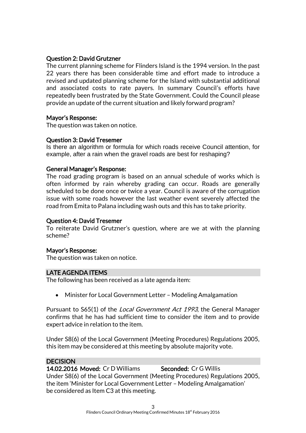#### Question 2: David Grutzner

The current planning scheme for Flinders Island is the 1994 version. In the past 22 years there has been considerable time and effort made to introduce a revised and updated planning scheme for the Island with substantial additional and associated costs to rate payers. In summary Council's efforts have repeatedly been frustrated by the State Government. Could the Council please provide an update of the current situation and likely forward program?

#### Mayor's Response:

The question was taken on notice.

#### Question 3: David Tresemer

Is there an algorithm or formula for which roads receive Council attention, for example, after a rain when the gravel roads are best for reshaping?

#### General Manager's Response:

The road grading program is based on an annual schedule of works which is often informed by rain whereby grading can occur. Roads are generally scheduled to be done once or twice a year. Council is aware of the corrugation issue with some roads however the last weather event severely affected the road from Emita to Palana including wash outs and this has to take priority.

#### Question 4: David Tresemer

To reiterate David Grutzner's question, where are we at with the planning scheme?

#### Mayor's Response:

The question was taken on notice.

#### LATE AGENDA ITEMS

The following has been received as a late agenda item:

• Minister for Local Government Letter - Modeling Amalgamation

Pursuant to S65(1) of the *Local Government Act 1993*, the General Manager confirms that he has had sufficient time to consider the item and to provide expert advice in relation to the item.

Under S8(6) of the Local Government (Meeting Procedures) Regulations 2005, this item may be considered at this meeting by absolute majority vote.

#### **DECISION**

14.02.2016 Moved: Cr D Williams Seconded: Cr G Willis Under S8(6) of the Local Government (Meeting Procedures) Regulations 2005, the item 'Minister for Local Government Letter – Modeling Amalgamation' be considered as Item C3 at this meeting.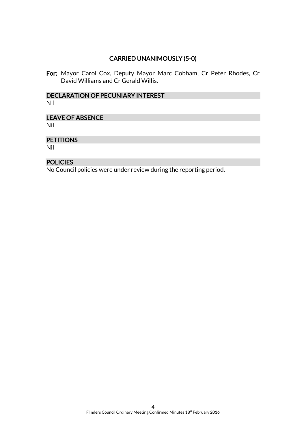# CARRIED UNANIMOUSLY (5-0)

For: Mayor Carol Cox, Deputy Mayor Marc Cobham, Cr Peter Rhodes, Cr David Williams and Cr Gerald Willis.

#### DECLARATION OF PECUNIARY INTEREST Nil

# LEAVE OF ABSENCE

Nil

#### **PETITIONS**

Nil

#### **POLICIES**

No Council policies were under review during the reporting period.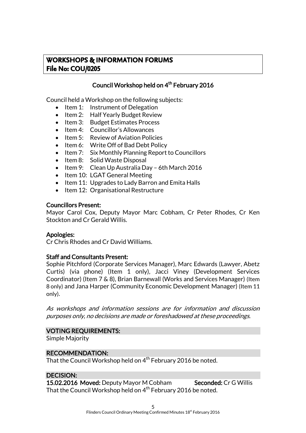# **WORKSHOPS & INFORMATION FORUMS File No: COU/0205**

# Council Workshop held on 4 th February 2016

Council held a Workshop on the following subjects:

- $\bullet$  Item 1: Instrument of Delegation
- Item 2: Half Yearly Budget Review
- Item 3: Budget Estimates Process
- Item 4: Councillor's Allowances
- Item 5: Review of Aviation Policies
- Item 6: Write Off of Bad Debt Policy
- Item 7: Six Monthly Planning Report to Councillors
- Item 8: Solid Waste Disposal
- Item 9: Clean Up Australia Day 6th March 2016
- Item 10: LGAT General Meeting
- Item 11: Upgrades to Lady Barron and Emita Halls
- Item 12: Organisational Restructure

#### Councillors Present:

Mayor Carol Cox, Deputy Mayor Marc Cobham, Cr Peter Rhodes, Cr Ken Stockton and Cr Gerald Willis.

#### Apologies:

Cr Chris Rhodes and Cr David Williams.

#### Staff and Consultants Present:

Sophie Pitchford (Corporate Services Manager), Marc Edwards (Lawyer, Abetz Curtis) (via phone) (Item 1 only), Jacci Viney (Development Services Coordinator) (Item 7 & 8), Brian Barnewall (Works and Services Manager) (Item 8 only) and Jana Harper (Community Economic Development Manager) (Item 11 only).

As workshops and information sessions are for information and discussion purposes only, no decisions are made or foreshadowed at these proceedings.

#### VOTING REQUIREMENTS:

Simple Majority

#### RECOMMENDATION:

That the Council Workshop held on  $4^{\text{th}}$  February 2016 be noted.

#### DECISION:

15.02.2016 Moved: Deputy Mayor M Cobham Seconded: Cr G Willis That the Council Workshop held on  $4^{\text{th}}$  February 2016 be noted.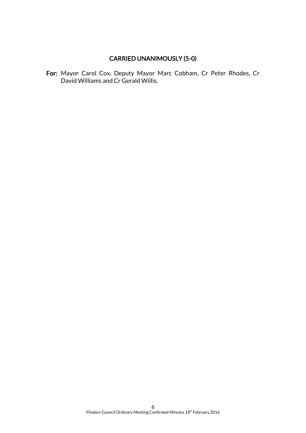# CARRIED UNANIMOUSLY (5-0)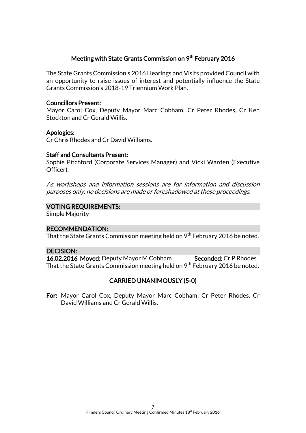#### Meeting with State Grants Commission on 9<sup>th</sup> February 2016

The State Grants Commission's 2016 Hearings and Visits provided Council with an opportunity to raise issues of interest and potentially influence the State Grants Commission's 2018-19 Triennium Work Plan.

#### Councillors Present:

Mayor Carol Cox, Deputy Mayor Marc Cobham, Cr Peter Rhodes, Cr Ken Stockton and Cr Gerald Willis.

#### Apologies:

Cr Chris Rhodes and Cr David Williams.

#### Staff and Consultants Present:

Sophie Pitchford (Corporate Services Manager) and Vicki Warden (Executive Officer).

As workshops and information sessions are for information and discussion purposes only, no decisions are made or foreshadowed at these proceedings.

#### VOTING REQUIREMENTS:

Simple Majority

#### RECOMMENDATION:

That the State Grants Commission meeting held on 9<sup>th</sup> February 2016 be noted.

#### DECISION:

16.02.2016 Moved: Deputy Mayor M Cobham Seconded: Cr P Rhodes That the State Grants Commission meeting held on 9<sup>th</sup> February 2016 be noted.

#### CARRIED UNANIMOUSLY (5-0)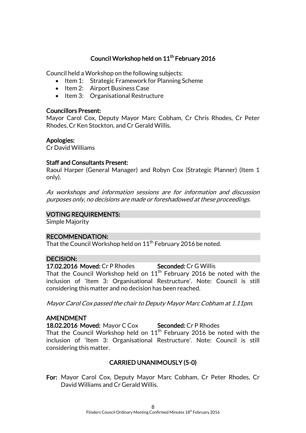# Council Workshop held on 11<sup>th</sup> February 2016

Council held a Workshop on the following subjects:

- Item 1: Strategic Framework for Planning Scheme
- Item 2: Airport Business Case
- Item 3: Organisational Restructure

#### Councillors Present:

Mayor Carol Cox, Deputy Mayor Marc Cobham, Cr Chris Rhodes, Cr Peter Rhodes, Cr Ken Stockton, and Cr Gerald Willis.

#### Apologies:

Cr David Williams

#### Staff and Consultants Present:

Raoul Harper (General Manager) and Robyn Cox (Strategic Planner) (Item 1 only).

As workshops and information sessions are for information and discussion purposes only, no decisions are made or foreshadowed at these proceedings.

#### VOTING REQUIREMENTS:

Simple Majority

#### RECOMMENDATION:

That the Council Workshop held on  $11<sup>th</sup>$  February 2016 be noted.

#### DECISION:

17.02.2016 Moved: Cr P Rhodes Seconded: Cr G Willis That the Council Workshop held on  $11<sup>th</sup>$  February 2016 be noted with the inclusion of 'Item 3: Organisational Restructure'. Note: Council is still considering this matter and no decision has been reached.

Mayor Carol Cox passed the chair to Deputy Mayor Marc Cobham at 1.11pm.

#### AMENDMENT

18.02.2016 Moved: Mayor C Cox Seconded: Cr P Rhodes

That the Council Workshop held on  $11<sup>th</sup>$  February 2016 be noted with the inclusion of 'Item 3: Organisational Restructure'. Note: Council is still considering this matter.

# CARRIED UNANIMOUSLY (5-0)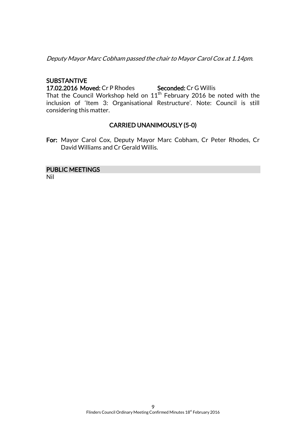Deputy Mayor Marc Cobham passed the chair to Mayor Carol Cox at 1.14pm.

### SUBSTANTIVE

17.02.2016 Moved: Cr P Rhodes Seconded: Cr G Willis

That the Council Workshop held on  $11<sup>th</sup>$  February 2016 be noted with the inclusion of 'Item 3: Organisational Restructure'. Note: Council is still considering this matter.

# CARRIED UNANIMOUSLY (5-0)

For: Mayor Carol Cox, Deputy Mayor Marc Cobham, Cr Peter Rhodes, Cr David Williams and Cr Gerald Willis.

#### PUBLIC MEETINGS

Nil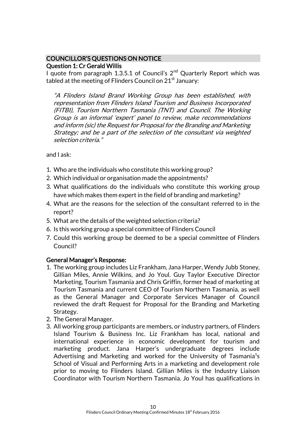### COUNCILLOR'S QUESTIONS ON NOTICE Question 1: Cr Gerald Willis

I quote from paragraph 1.3.5.1 of Council's  $2<sup>nd</sup>$  Quarterly Report which was tabled at the meeting of Flinders Council on  $21<sup>st</sup>$  January:

"A Flinders Island Brand Working Group has been established, with representation from Flinders Island Tourism and Business Incorporated (FITBI), Tourism Northern Tasmania (TNT) and Council. The Working Group is an informal 'expert' panel to review, make recommendations and inform (sic) the Request for Proposal for the Branding and Marketing Strategy; and be a part of the selection of the consultant via weighted selection criteria."

and I ask:

- 1. Who are the individuals who constitute this working group?
- 2. Which individual or organisation made the appointments?
- 3. What qualifications do the individuals who constitute this working group have which makes them expert in the field of branding and marketing?
- 4. What are the reasons for the selection of the consultant referred to in the report?
- 5. What are the details of the weighted selection criteria?
- 6. Is this working group a special committee of Flinders Council
- 7. Could this working group be deemed to be a special committee of Flinders Council?

#### General Manager's Response:

- 1. The working group includes Liz Frankham, Jana Harper, Wendy Jubb Stoney, Gillian Miles, Annie Wilkins, and Jo Youl. Guy Taylor Executive Director Marketing, Tourism Tasmania and Chris Griffin, former head of marketing at Tourism Tasmania and current CEO of Tourism Northern Tasmania, as well as the General Manager and Corporate Services Manager of Council reviewed the draft Request for Proposal for the Branding and Marketing Strategy.
- 2. The General Manager.
- 3. All working group participants are members, or industry partners, of Flinders Island Tourism & Business Inc. Liz Frankham has local, national and international experience in economic development for tourism and marketing product. Jana Harper's undergraduate degrees include Advertising and Marketing and worked for the University of Tasmania<sup>1</sup>s School of Visual and Performing Arts in a marketing and development role prior to moving to Flinders Island. Gillian Miles is the Industry Liaison Coordinator with Tourism Northern Tasmania. Jo Youl has qualifications in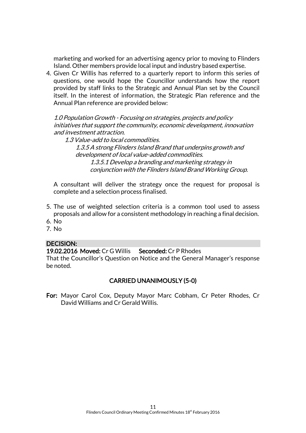marketing and worked for an advertising agency prior to moving to Flinders Island. Other members provide local input and industry based expertise.

4. Given Cr Willis has referred to a quarterly report to inform this series of questions, one would hope the Councillor understands how the report provided by staff links to the Strategic and Annual Plan set by the Council itself. In the interest of information, the Strategic Plan reference and the Annual Plan reference are provided below:

1.0 Population Growth - Focusing on strategies, projects and policy initiatives that support the community, economic development, innovation and investment attraction.

1.3 Value-add to local commodities. 1.3.5 A strong Flinders Island Brand that underpins growth and development of local value-added commodities. 1.3.5.1 Develop a branding and marketing strategy in conjunction with the Flinders Island Brand Working Group.

A consultant will deliver the strategy once the request for proposal is complete and a selection process finalised.

- 5. The use of weighted selection criteria is a common tool used to assess proposals and allow for a consistent methodology in reaching a final decision.
- 6. No
- 7. No

#### DECISION:

19.02.2016 Moved: Cr G Willis Seconded: Cr P Rhodes

That the Councillor's Question on Notice and the General Manager's response be noted.

#### CARRIED UNANIMOUSLY (5-0)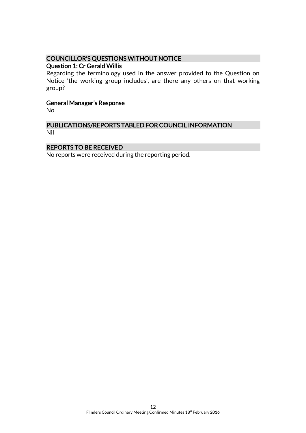# COUNCILLOR'S QUESTIONS WITHOUT NOTICE

#### Question 1: Cr Gerald Willis

Regarding the terminology used in the answer provided to the Question on Notice 'the working group includes', are there any others on that working group?

#### General Manager's Response

No

#### PUBLICATIONS/REPORTS TABLED FOR COUNCIL INFORMATION Nil

#### REPORTS TO BE RECEIVED

No reports were received during the reporting period.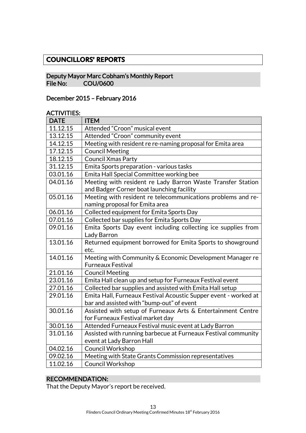# **COUNCILLORS' REPORTS**

#### Deputy Mayor Marc Cobham's Monthly Report COU/0600

### December 2015 – February 2016

#### ACTIVITIES:

| <b>DATE</b> | <b>ITEM</b>                                                     |
|-------------|-----------------------------------------------------------------|
| 11.12.15    | Attended "Croon" musical event                                  |
| 13.12.15    | Attended "Croon" community event                                |
| 14.12.15    | Meeting with resident re re-naming proposal for Emita area      |
| 17.12.15    | <b>Council Meeting</b>                                          |
| 18.12.15    | <b>Council Xmas Party</b>                                       |
| 31.12.15    | Emita Sports preparation - various tasks                        |
| 03.01.16    | Emita Hall Special Committee working bee                        |
| 04.01.16    | Meeting with resident re Lady Barron Waste Transfer Station     |
|             | and Badger Corner boat launching facility                       |
| 05.01.16    | Meeting with resident re telecommunications problems and re-    |
|             | naming proposal for Emita area                                  |
| 06.01.16    | Collected equipment for Emita Sports Day                        |
| 07.01.16    | Collected bar supplies for Emita Sports Day                     |
| 09.01.16    | Emita Sports Day event including collecting ice supplies from   |
|             | Lady Barron                                                     |
| 13.01.16    | Returned equipment borrowed for Emita Sports to showground      |
|             | etc.                                                            |
| 14.01.16    | Meeting with Community & Economic Development Manager re        |
|             | <b>Furneaux Festival</b>                                        |
| 21.01.16    | <b>Council Meeting</b>                                          |
| 23.01.16    | Emita Hall clean up and setup for Furneaux Festival event       |
| 27.01.16    | Collected bar supplies and assisted with Emita Hall setup       |
| 29.01.16    | Emita Hall, Furneaux Festival Acoustic Supper event - worked at |
|             | bar and assisted with "bump-out" of event                       |
| 30.01.16    | Assisted with setup of Furneaux Arts & Entertainment Centre     |
|             | for Furneaux Festival market day                                |
| 30.01.16    | Attended Furneaux Festival music event at Lady Barron           |
| 31.01.16    | Assisted with running barbecue at Furneaux Festival community   |
|             | event at Lady Barron Hall                                       |
| 04.02.16    | Council Workshop                                                |
| 09.02.16    | Meeting with State Grants Commission representatives            |
| 11.02.16    | Council Workshop                                                |

#### RECOMMENDATION:

That the Deputy Mayor's report be received.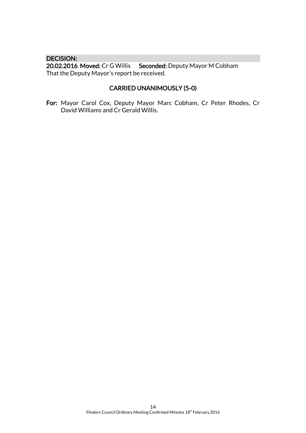DECISION:<br>20.02.2016 Moved: Cr G Willis Seconded: Deputy Mayor M Cobham That the Deputy Mayor's report be received.

# CARRIED UNANIMOUSLY (5-0)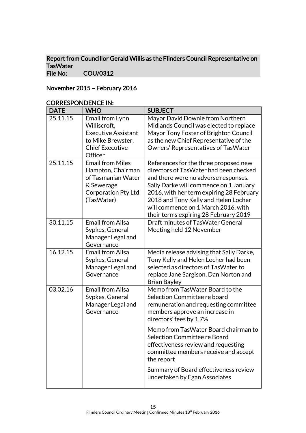#### Report from Councillor Gerald Willis as the Flinders Council Representative on TasWater<br>File No: COU/0312

# November 2015 – February 2016

| <b>DATE</b> | <b>WHO</b>                                                                                                              | <b>SUBJECT</b>                                                                                                                                                                                                                                                                                                                        |
|-------------|-------------------------------------------------------------------------------------------------------------------------|---------------------------------------------------------------------------------------------------------------------------------------------------------------------------------------------------------------------------------------------------------------------------------------------------------------------------------------|
| 25.11.15    | Email from Lynn<br>Williscroft,<br><b>Executive Assistant</b><br>to Mike Brewster,<br><b>Chief Executive</b><br>Officer | Mayor David Downie from Northern<br>Midlands Council was elected to replace<br>Mayor Tony Foster of Brighton Council<br>as the new Chief Representative of the<br>Owners' Representatives of TasWater                                                                                                                                 |
| 25.11.15    | <b>Email from Miles</b><br>Hampton, Chairman<br>of Tasmanian Water<br>& Sewerage<br>Corporation Pty Ltd<br>(TasWater)   | References for the three proposed new<br>directors of TasWater had been checked<br>and there were no adverse responses.<br>Sally Darke will commence on 1 January<br>2016, with her term expiring 28 February<br>2018 and Tony Kelly and Helen Locher<br>will commence on 1 March 2016, with<br>their terms expiring 28 February 2019 |
| 30.11.15    | <b>Email from Ailsa</b><br>Sypkes, General<br>Manager Legal and<br>Governance                                           | Draft minutes of TasWater General<br>Meeting held 12 November                                                                                                                                                                                                                                                                         |
| 16.12.15    | <b>Email from Ailsa</b><br>Sypkes, General<br>Manager Legal and<br>Governance                                           | Media release advising that Sally Darke,<br>Tony Kelly and Helen Locher had been<br>selected as directors of Tas Water to<br>replace Jane Sargison, Dan Norton and<br><b>Brian Bayley</b>                                                                                                                                             |
| 03.02.16    | <b>Email from Ailsa</b><br>Sypkes, General<br>Manager Legal and<br>Governance                                           | Memo from TasWater Board to the<br>Selection Committee re board<br>remuneration and requesting committee<br>members approve an increase in<br>directors' fees by 1.7%                                                                                                                                                                 |
|             |                                                                                                                         | Memo from TasWater Board chairman to<br>Selection Committee re Board<br>effectiveness review and requesting<br>committee members receive and accept<br>the report                                                                                                                                                                     |
|             |                                                                                                                         | Summary of Board effectiveness review<br>undertaken by Egan Associates                                                                                                                                                                                                                                                                |

#### CORRESPONDENCE IN: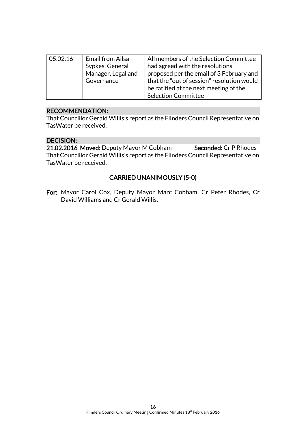| 05.02.16 | Email from Ailsa<br>Sypkes, General<br>Manager, Legal and<br>Governance | All members of the Selection Committee<br>had agreed with the resolutions<br>proposed per the email of 3 February and<br>that the "out of session" resolution would<br>be ratified at the next meeting of the |
|----------|-------------------------------------------------------------------------|---------------------------------------------------------------------------------------------------------------------------------------------------------------------------------------------------------------|
|          |                                                                         |                                                                                                                                                                                                               |
|          |                                                                         | <b>Selection Committee</b>                                                                                                                                                                                    |

# RECOMMENDATION:

That Councillor Gerald Willis's report as the Flinders Council Representative on TasWater be received.

#### DECISION:

21.02.2016 Moved: Deputy Mayor M Cobham Seconded: Cr P Rhodes That Councillor Gerald Willis's report as the Flinders Council Representative on TasWater be received.

# CARRIED UNANIMOUSLY (5-0)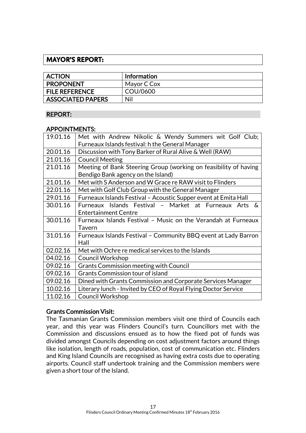# **MAYOR'S REPORT:**

| <b>ACTION</b>            | <b>Information</b> |
|--------------------------|--------------------|
| <b>PROPONENT</b>         | Mayor C Cox        |
| <b>FILE REFERENCE</b>    | COU/0600           |
| <b>ASSOCIATED PAPERS</b> | Nil                |

#### REPORT:

#### APPOINTMENTS:

| 19.01.16 | Met with Andrew Nikolic & Wendy Summers wit Golf Club;           |
|----------|------------------------------------------------------------------|
|          | Furneaux Islands festival: h the General Manager                 |
| 20.01.16 | Discussion with Tony Barker of Rural Alive & Well (RAW)          |
| 21.01.16 | <b>Council Meeting</b>                                           |
| 21.01.16 | Meeting of Bank Steering Group (working on feasibility of having |
|          | Bendigo Bank agency on the Island)                               |
| 21.01.16 | Met with S Anderson and W Grace re RAW visit to Flinders         |
| 22.01.16 | Met with Golf Club Group with the General Manager                |
| 29.01.16 | Furneaux Islands Festival - Acoustic Supper event at Emita Hall  |
| 30.01.16 | Furneaux Islands Festival - Market at Furneaux Arts<br>&.        |
|          | <b>Entertainment Centre</b>                                      |
| 30.01.16 | Furneaux Islands Festival - Music on the Verandah at Furneaux    |
|          | <b>Tavern</b>                                                    |
| 31.01.16 | Furneaux Islands Festival - Community BBQ event at Lady Barron   |
|          | Hall                                                             |
| 02.02.16 | Met with Ochre re medical services to the Islands                |
| 04.02.16 | <b>Council Workshop</b>                                          |
| 09.02.16 | <b>Grants Commission meeting with Council</b>                    |
| 09.02.16 | <b>Grants Commission tour of island</b>                          |
| 09.02.16 | Dined with Grants Commission and Corporate Services Manager      |
| 10.02.16 | Literary lunch - Invited by CEO of Royal Flying Doctor Service   |
| 11.02.16 | <b>Council Workshop</b>                                          |

# Grants Commission Visit:

The Tasmanian Grants Commission members visit one third of Councils each year, and this year was Flinders Council's turn. Councillors met with the Commission and discussions ensued as to how the fixed pot of funds was divided amongst Councils depending on cost adjustment factors around things like isolation, length of roads, population, cost of communication etc. Flinders and King Island Councils are recognised as having extra costs due to operating airports. Council staff undertook training and the Commission members were given a short tour of the Island.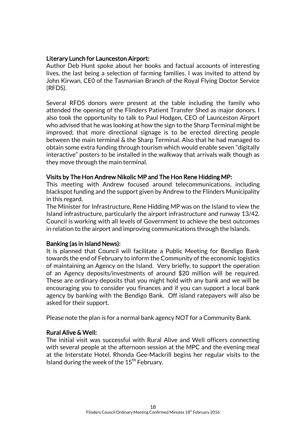#### Literary Lunch for Launceston Airport:

Author Deb Hunt spoke about her books and factual accounts of interesting lives, the last being a selection of farming families. I was invited to attend by John Kirwan, CE0 of the Tasmanian Branch of the Royal Flying Doctor Service (RFDS).

Several RFDS donors were present at the table including the family who attended the opening of the Flinders Patient Transfer Shed as major donors. I also took the opportunity to talk to Paul Hodgen, CEO of Launceston Airport who advised that he was looking at how the sign to the Sharp Terminal might be improved; that more directional signage is to be erected directing people between the main terminal & the Sharp Terminal. Also that he had managed to obtain some extra funding through tourism which would enable seven "digitally interactive" posters to be installed in the walkway that arrivals walk though as they move through the main terminal.

#### Visits by The Hon Andrew Nikolic MP and The Hon Rene Hidding MP:

This meeting with Andrew focused around telecommunications, including blackspot funding and the support given by Andrew to the Flinders Municipality in this regard.

The Minister for Infrastructure, Rene Hidding MP was on the Island to view the Island infrastructure, particularly the airport infrastructure and runway 13/42. Council is working with all levels of Government to achieve the best outcomes in relation to the airport and improving communications through the Islands.

#### Banking (as in Island News):

It is planned that Council will facilitate a Public Meeting for Bendigo Bank towards the end of February to inform the Community of the economic logistics of maintaining an Agency on the Island. Very briefly, to support the operation of an Agency deposits/investments of around \$20 million will be required. These are ordinary deposits that you might hold with any bank and we will be encouraging you to consider you finances and if you can support a local bank agency by banking with the Bendigo Bank. Off island ratepayers will also be asked for their support.

Please note the plan is for a normal bank agency NOT for a Community Bank.

#### Rural Alive & Well:

The initial visit was successful with Rural Alive and Well officers connecting with several people at the afternoon session at the MPC and the evening meal at the Interstate Hotel. Rhonda Gee-Mackrill begins her regular visits to the Island during the week of the  $15<sup>th</sup>$  February.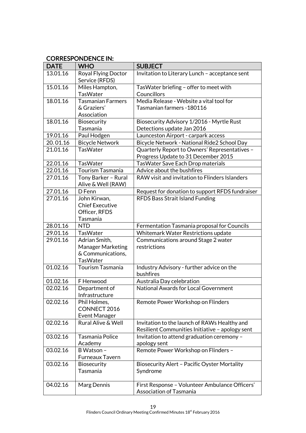# CORRESPONDENCE IN:

| <b>DATE</b> | <b>WHO</b>                                | <b>SUBJECT</b>                                                                       |
|-------------|-------------------------------------------|--------------------------------------------------------------------------------------|
| 13.01.16    | Royal Flying Doctor<br>Service (RFDS)     | Invitation to Literary Lunch - acceptance sent                                       |
| 15.01.16    | Miles Hampton,                            | TasWater briefing - offer to meet with                                               |
|             | <b>TasWater</b>                           | Councillors                                                                          |
| 18.01.16    | <b>Tasmanian Farmers</b>                  | Media Release - Website a vital tool for                                             |
|             | & Graziers'                               | Tasmanian farmers - 180116                                                           |
|             | Association                               |                                                                                      |
| 18.01.16    | <b>Biosecurity</b>                        | Biosecurity Advisory 1/2016 - Myrtle Rust                                            |
|             | Tasmania                                  | Detections update Jan 2016                                                           |
| 19.01.16    | Paul Hodgen                               | Launceston Airport - carpark access                                                  |
| 20.01.16    | <b>Bicycle Network</b>                    | Bicycle Network - National Ride2 School Day                                          |
| 21.01.16    | <b>TasWater</b>                           | Quarterly Report to Owners' Representatives -<br>Progress Update to 31 December 2015 |
| 22.01.16    | <b>TasWater</b>                           | <b>TasWater Save Each Drop materials</b>                                             |
| 22.01.16    | Tourism Tasmania                          | Advice about the bushfires                                                           |
| 27.01.16    | Tony Barker - Rural<br>Alive & Well (RAW) | RAW visit and invitation to Flinders Islanders                                       |
| 27.01.16    | D Fenn                                    | Request for donation to support RFDS fundraiser                                      |
| 27.01.16    | John Kirwan,                              | <b>RFDS Bass Strait Island Funding</b>                                               |
|             | <b>Chief Executive</b>                    |                                                                                      |
|             | Officer, RFDS                             |                                                                                      |
|             | Tasmania                                  |                                                                                      |
| 28.01.16    | <b>NTD</b>                                | Fermentation Tasmania proposal for Councils                                          |
| 29.01.16    | <b>TasWater</b>                           | Whitemark Water Restrictions update                                                  |
| 29.01.16    | Adrian Smith,                             | Communications around Stage 2 water                                                  |
|             | <b>Manager Marketing</b>                  | restrictions                                                                         |
|             | & Communications,                         |                                                                                      |
|             | <b>TasWater</b>                           |                                                                                      |
| 01.02.16    | Tourism Tasmania                          | Industry Advisory - further advice on the                                            |
|             |                                           | bushfires                                                                            |
| 01.02.16    | F Henwood                                 | Australia Day celebration                                                            |
| 02.02.16    | Department of                             | <b>National Awards for Local Government</b>                                          |
|             | Infrastructure                            |                                                                                      |
| 02.02.16    | Phil Holmes,<br>CONNECT 2016              | Remote Power Workshop on Flinders                                                    |
|             |                                           |                                                                                      |
| 02.02.16    | Event Manager<br>Rural Alive & Well       | Invitation to the launch of RAWs Healthy and                                         |
|             |                                           | Resilient Communities Initiative - apology sent                                      |
| 03.02.16    | Tasmania Police                           | Invitation to attend graduation ceremony -                                           |
|             | Academy                                   | apology sent                                                                         |
| 03.02.16    | B Watson -                                | Remote Power Workshop on Flinders -                                                  |
|             | <b>Furneaux Tavern</b>                    |                                                                                      |
| 03.02.16    | <b>Biosecurity</b>                        | <b>Biosecurity Alert - Pacific Oyster Mortality</b>                                  |
|             | Tasmania                                  | Syndrome                                                                             |
|             |                                           |                                                                                      |
| 04.02.16    | Marg Dennis                               | First Response - Volunteer Ambulance Officers'                                       |
|             |                                           | <b>Association of Tasmania</b>                                                       |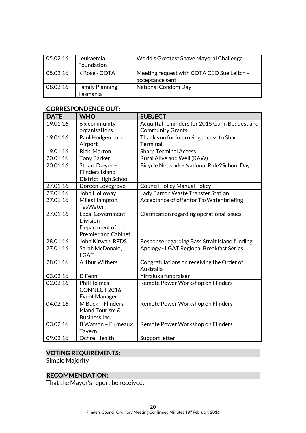| 05.02.16 | Leukaemia<br>Foundation            | World's Greatest Shave Mayoral Challenge                      |
|----------|------------------------------------|---------------------------------------------------------------|
| 05.02.16 | K Rose - COTA                      | Meeting request with COTA CEO Sue Leitch -<br>acceptance sent |
| 08.02.16 | <b>Family Planning</b><br>Tasmania | <b>National Condom Day</b>                                    |

#### CORRESPONDENCE OUT:

| <b>DATE</b> | <b>WHO</b>                 | <b>SUBJECT</b>                                |  |
|-------------|----------------------------|-----------------------------------------------|--|
| 19.01.16    | 6 x community              | Acquittal reminders for 2015 Gunn Bequest and |  |
|             | organisations              | <b>Community Grants</b>                       |  |
| 19.01.16    | Paul Hodgen Lton           | Thank you for improving access to Sharp       |  |
|             | Airport                    | <b>Terminal</b>                               |  |
| 19.01.16    | <b>Rick Marton</b>         | <b>Sharp Terminal Access</b>                  |  |
| 20.01.16    | <b>Tony Barker</b>         | Rural Alive and Well (RAW)                    |  |
| 20.01.16    | Stuart Dwyer -             | Bicycle Network - National Ride2School Day    |  |
|             | <b>Flinders Island</b>     |                                               |  |
|             | District High School       |                                               |  |
| 27.01.16    | Doreen Lovegrove           | <b>Council Policy Manual Policy</b>           |  |
| 27.01.16    | John Holloway              | Lady Barron Waste Transfer Station            |  |
| 27.01.16    | Miles Hampton,             | Acceptance of offer for TasWater briefing     |  |
|             | <b>TasWater</b>            |                                               |  |
| 27.01.16    | <b>Local Government</b>    | Clarification regarding operational issues    |  |
|             | Division -                 |                                               |  |
|             | Department of the          |                                               |  |
|             | <b>Premier and Cabinet</b> |                                               |  |
| 28.01.16    | John Kirwan, RFDS          | Response regarding Bass Strait Island funding |  |
| 27.01.16    | Sarah McDonald,            | Apology - LGAT Regional Breakfast Series      |  |
|             | <b>LGAT</b>                |                                               |  |
| 28.01.16    | <b>Arthur Withers</b>      | Congratulations on receiving the Order of     |  |
|             |                            | Australia                                     |  |
| 03.02.16    | D Fenn                     | Yirraluka fundraiser                          |  |
| 02.02.16    | <b>Phil Holmes</b>         | Remote Power Workshop on Flinders             |  |
|             | CONNECT 2016               |                                               |  |
|             | <b>Event Manager</b>       |                                               |  |
| 04.02.16    | M Buck - Flinders          | Remote Power Workshop on Flinders             |  |
|             | Island Tourism &           |                                               |  |
|             | Business Inc.              |                                               |  |
| 03.02.16    | <b>B Watson - Furneaux</b> | Remote Power Workshop on Flinders             |  |
|             | Tavern                     |                                               |  |
| 09.02.16    | Ochre Health               | Support letter                                |  |

# VOTING REQUIREMENTS:

Simple Majority

# RECOMMENDATION:

That the Mayor's report be received.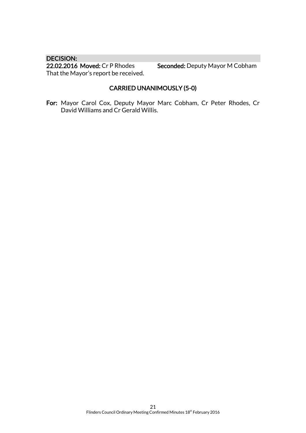DECISION:<br>22.02.2016 Moved: Cr P Rhodes That the Mayor's report be received.

Seconded: Deputy Mayor M Cobham

# CARRIED UNANIMOUSLY (5-0)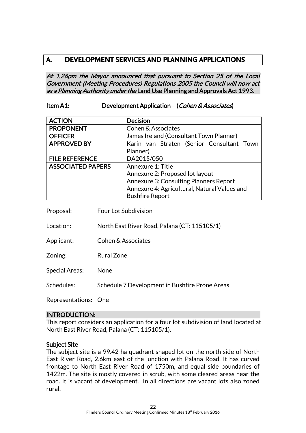# **A. DEVELOPMENT SERVICES AND PLANNING APPLICATIONS**

At 1.26pm the Mayor announced that pursuant to Section 25 of the Local Government (Meeting Procedures) Regulations 2005 the Council will now act as a Planning Authority under the Land Use Planning and Approvals Act 1993.

#### Item A1: Development Application – (Cohen & Associates)

| <b>ACTION</b>            | <b>Decision</b>                               |  |
|--------------------------|-----------------------------------------------|--|
| <b>PROPONENT</b>         | Cohen & Associates                            |  |
| <b>OFFICER</b>           | James Ireland (Consultant Town Planner)       |  |
| <b>APPROVED BY</b>       | Karin van Straten (Senior Consultant Town     |  |
|                          | Planner)                                      |  |
| <b>FILE REFERENCE</b>    | DA2015/050                                    |  |
| <b>ASSOCIATED PAPERS</b> | Annexure 1: Title                             |  |
|                          | Annexure 2: Proposed lot layout               |  |
|                          | <b>Annexure 3: Consulting Planners Report</b> |  |
|                          | Annexure 4: Agricultural, Natural Values and  |  |
|                          | <b>Bushfire Report</b>                        |  |

Proposal: Four Lot Subdivision

Location: North East River Road, Palana (CT: 115105/1)

- Applicant: Cohen & Associates
- Zoning: Rural Zone

Special Areas: None

Schedules: Schedule 7 Development in Bushfire Prone Areas

Representations: One

#### INTRODUCTION:

This report considers an application for a four lot subdivision of land located at North East River Road, Palana (CT: 115105/1).

#### Subject Site

The subject site is a 99.42 ha quadrant shaped lot on the north side of North East River Road, 2.6km east of the junction with Palana Road. It has curved frontage to North East River Road of 1750m, and equal side boundaries of 1422m. The site is mostly covered in scrub, with some cleared areas near the road. It is vacant of development. In all directions are vacant lots also zoned rural.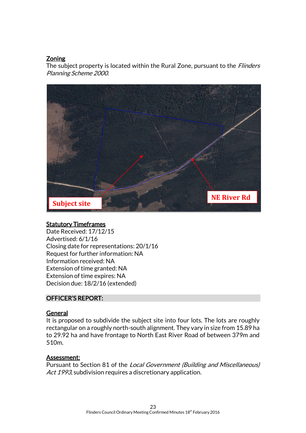# **Zoning**

The subject property is located within the Rural Zone, pursuant to the *Flinders* Planning Scheme 2000.



#### **Statutory Timeframes**

Date Received: 17/12/15 Advertised: 6/1/16 Closing date for representations: 20/1/16 Request for further information: NA Information received: NA Extension of time granted: NA Extension of time expires: NA Decision due: 18/2/16 (extended)

#### OFFICER'S REPORT:

#### General

It is proposed to subdivide the subject site into four lots. The lots are roughly rectangular on a roughly north-south alignment. They vary in size from 15.89 ha to 29.92 ha and have frontage to North East River Road of between 379m and 510m.

#### Assessment:

Pursuant to Section 81 of the Local Government (Building and Miscellaneous) Act 1993, subdivision requires a discretionary application.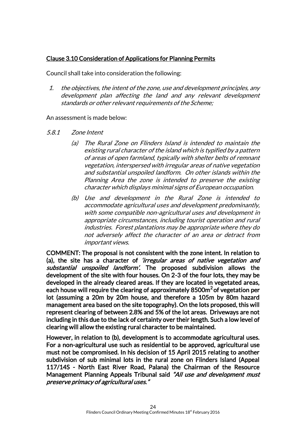# Clause 3.10 Consideration of Applications for Planning Permits

Council shall take into consideration the following:

1. the objectives, the intent of the zone, use and development principles, any development plan affecting the land and any relevant development standards or other relevant requirements of the Scheme;

#### An assessment is made below:

- 5.8.1 Zone Intent
	- (a) The Rural Zone on Flinders Island is intended to maintain the existing rural character of the island which is typified by a pattern of areas of open farmland, typically with shelter belts of remnant vegetation, interspersed with irregular areas of native vegetation and substantial unspoiled landform. On other islands within the Planning Area the zone is intended to preserve the existing character which displays minimal signs of European occupation.
	- (b) Use and development in the Rural Zone is intended to accommodate agricultural uses and development predominantly, with some compatible non-agricultural uses and development in appropriate circumstances, including tourist operation and rural industries. Forest plantations may be appropriate where they do not adversely affect the character of an area or detract from important views.

COMMENT: The proposal is not consistent with the zone intent. In relation to (a), the site has a character of *'irregular areas of native vegetation and* substantial unspoiled landform'. The proposed subdivision allows the development of the site with four houses. On 2-3 of the four lots, they may be developed in the already cleared areas. If they are located in vegetated areas, each house will require the clearing of approximately 8500m<sup>2</sup> of vegetation per lot (assuming a 20m by 20m house, and therefore a 105m by 80m hazard management area based on the site topography). On the lots proposed, this will represent clearing of between 2.8% and 5% of the lot areas. Driveways are not including in this due to the lack of certainty over their length. Such a low level of clearing will allow the existing rural character to be maintained.

However, in relation to (b), development is to accommodate agricultural uses. For a non-agricultural use such as residential to be approved, agricultural use must not be compromised. In his decision of 15 April 2015 relating to another subdivision of sub minimal lots in the rural zone on Flinders Island (Appeal 117/14S - North East River Road, Palana) the Chairman of the Resource Management Planning Appeals Tribunal said "All use and development must preserve primacy of agricultural uses."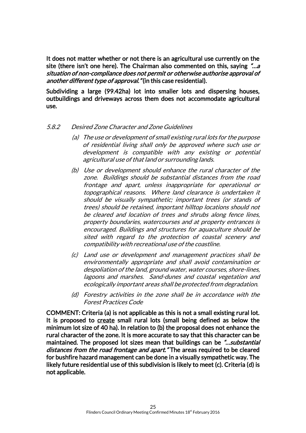It does not matter whether or not there is an agricultural use currently on the site (there isn't one here). The Chairman also commented on this, saying  $\ddot{\cdot}$ ...a situation of non-compliance does not permit or otherwise authorise approval of another different type of approval." (in this case residential).

Subdividing a large (99.42ha) lot into smaller lots and dispersing houses, outbuildings and driveways across them does not accommodate agricultural use.

#### 5.8.2 Desired Zone Character and Zone Guidelines

- (a) The use or development of small existing rural lots for the purpose of residential living shall only be approved where such use or development is compatible with any existing or potential agricultural use of that land or surrounding lands.
- (b) Use or development should enhance the rural character of the zone. Buildings should be substantial distances from the road frontage and apart, unless inappropriate for operational or topographical reasons. Where land clearance is undertaken it should be visually sympathetic; important trees (or stands of trees) should be retained, important hilltop locations should not be cleared and location of trees and shrubs along fence lines, property boundaries, watercourses and at property entrances is encouraged. Buildings and structures for aquaculture should be sited with regard to the protection of coastal scenery and compatibility with recreational use of the coastline.
- (c) Land use or development and management practices shall be environmentally appropriate and shall avoid contamination or despoliation of the land, ground water, water courses, shore-lines, lagoons and marshes. Sand-dunes and coastal vegetation and ecologically important areas shall be protected from degradation.
- (d) Forestry activities in the zone shall be in accordance with the Forest Practices Code

COMMENT: Criteria (a) is not applicable as this is not a small existing rural lot. It is proposed to create small rural lots (small being defined as below the minimum lot size of 40 ha). In relation to (b) the proposal does not enhance the rural character of the zone. It is more accurate to say that this character can be maintained. The proposed lot sizes mean that buildings can be *"...substantial* distances from the road frontage and apart." The areas required to be cleared for bushfire hazard management can be done in a visually sympathetic way. The likely future residential use of this subdivision is likely to meet (c). Criteria (d) is not applicable.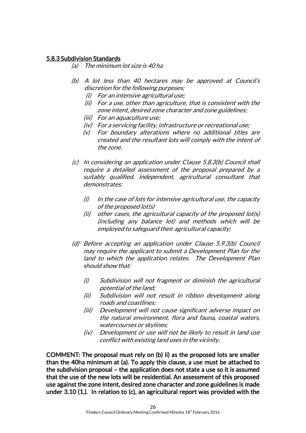#### 5.8.3 Subdivision Standards

(a) The minimum lot size is 40 ha

- (b) A lot less than 40 hectares may be approved at Council's discretion for the following purposes;
	- (i) For an intensive agricultural use;
	- (ii) For a use, other than agriculture, that is consistent with the zone intent, desired zone character and zone guidelines;
	- (iii) For an aquaculture use;
	- (iv) For a servicing facility, infrastructure or recreational use;
	- (v) For boundary alterations where no additional titles are created and the resultant lots will comply with the intent of the zone.
- (c) In considering an application under Clause 5.8.3(b) Council shall require a detailed assessment of the proposal prepared by a suitably qualified, independent, agricultural consultant that demonstrates:
	- $(i)$  In the case of lots for intensive agricultural use, the capacity of the proposed lot(s)
	- (ii) other cases, the agricultural capacity of the proposed lot(s) (including any balance lot) and methods which will be employed to safeguard their agricultural capacity;
- (d) Before accepting an application under Clause 5.9.3(b) Council may require the applicant to submit a Development Plan for the land to which the application relates. The Development Plan should show that:
	- (i) Subdivision will not fragment or diminish the agricultural potential of the land;
	- (ii) Subdivision will not result in ribbon development along roads and coastlines;
	- (iii) Development will not cause significant adverse impact on the natural environment, flora and fauna, coastal waters, watercourses or skylines;
	- (iv) Development or use will not be likely to result in land use conflict with existing land uses in the vicinity.

COMMENT: The proposal must rely on (b) ii) as the proposed lots are smaller than the 40ha minimum at (a). To apply this clause, a use must be attached to the subdivision proposal – the application does not state a use so it is assumed that the use of the new lots will be residential. An assessment of this proposed use against the zone intent, desired zone character and zone guidelines is made under 3.10 (1.). In relation to (c), an agricultural report was provided with the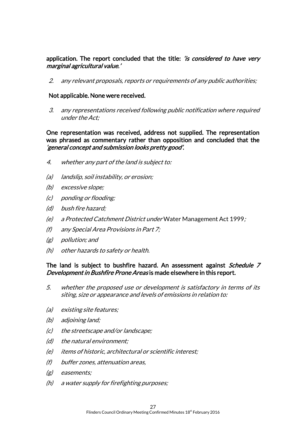#### application. The report concluded that the title: 'is considered to have very marginal agricultural value.'

2. any relevant proposals, reports or requirements of any public authorities;

#### Not applicable. None were received.

3. any representations received following public notification where required under the Act;

#### One representation was received, address not supplied. The representation was phrased as commentary rather than opposition and concluded that the 'general concept and submission looks pretty good'.

- 4. whether any part of the land is subject to:
- (a) landslip, soil instability, or erosion;
- (b) excessive slope;
- (c) ponding or flooding;
- (d) bush fire hazard;
- (e) a Protected Catchment District under Water Management Act 1999;
- (f) any Special Area Provisions in Part 7;
- (g) pollution; and
- (h) other hazards to safety or health.

#### The land is subject to bushfire hazard. An assessment against *Schedule 7* Development in Bushfire Prone Areas is made elsewhere in this report.

- 5. whether the proposed use or development is satisfactory in terms of its siting, size or appearance and levels of emissions in relation to:
- (a) existing site features;
- (b) adjoining land;
- (c) the streetscape and/or landscape;
- (d) the natural environment;
- (e) items of historic, architectural or scientific interest;
- (f) buffer zones, attenuation areas,
- (g) easements;
- (h) a water supply for firefighting purposes;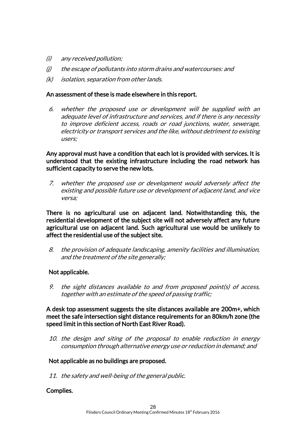- (i) any received pollution;
- $(i)$  the escape of pollutants into storm drains and watercourses: and
- (k) isolation, separation from other lands.

#### An assessment of these is made elsewhere in this report.

6. whether the proposed use or development will be supplied with an adequate level of infrastructure and services, and if there is any necessity to improve deficient access, roads or road junctions, water, sewerage, electricity or transport services and the like, without detriment to existing users;

Any approval must have a condition that each lot is provided with services. It is understood that the existing infrastructure including the road network has sufficient capacity to serve the new lots.

7. whether the proposed use or development would adversely affect the existing and possible future use or development of adjacent land, and vice versa;

There is no agricultural use on adjacent land. Notwithstanding this, the residential development of the subject site will not adversely affect any future agricultural use on adjacent land. Such agricultural use would be unlikely to affect the residential use of the subject site.

8. the provision of adequate landscaping, amenity facilities and illumination, and the treatment of the site generally;

#### Not applicable.

9. the sight distances available to and from proposed point(s) of access, together with an estimate of the speed of passing traffic;

#### A desk top assessment suggests the site distances available are 200m+, which meet the safe intersection sight distance requirements for an 80km/h zone (the speed limit in this section of North East River Road).

10. the design and siting of the proposal to enable reduction in energy consumption through alternative energy use or reduction in demand; and

#### Not applicable as no buildings are proposed.

11. the safety and well-being of the general public.

#### Complies.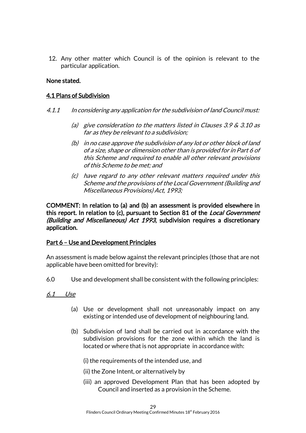12. Any other matter which Council is of the opinion is relevant to the particular application.

#### None stated.

#### 4.1 Plans of Subdivision

- 4.1.1 In considering any application for the subdivision of land Council must:
	- (a) give consideration to the matters listed in Clauses 3.9  $\&$  3.10 as far as they be relevant to a subdivision;
	- (b) in no case approve the subdivision of any lot or other block of land of a size, shape or dimension other than is provided for in Part 6 of this Scheme and required to enable all other relevant provisions of this Scheme to be met; and
	- (c) have regard to any other relevant matters required under this Scheme and the provisions of the Local Government (Building and Miscellaneous Provisions) Act, 1993;

COMMENT: In relation to (a) and (b) an assessment is provided elsewhere in this report. In relation to (c), pursuant to Section 81 of the *Local Government* (Building and Miscellaneous) Act 1993, subdivision requires a discretionary application.

#### Part 6 – Use and Development Principles

An assessment is made below against the relevant principles (those that are not applicable have been omitted for brevity):

6.0 Use and development shall be consistent with the following principles:

#### 6.1 Use

- (a) Use or development shall not unreasonably impact on any existing or intended use of development of neighbouring land.
- (b) Subdivision of land shall be carried out in accordance with the subdivision provisions for the zone within which the land is located or where that is not appropriate in accordance with:

(i) the requirements of the intended use, and

- (ii) the Zone Intent, or alternatively by
- (iii) an approved Development Plan that has been adopted by Council and inserted as a provision in the Scheme.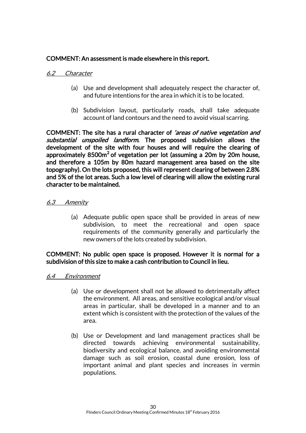# COMMENT: An assessment is made elsewhere in this report.

#### 6.2 Character

- (a) Use and development shall adequately respect the character of, and future intentions for the area in which it is to be located.
- (b) Subdivision layout, particularly roads, shall take adequate account of land contours and the need to avoid visual scarring.

COMMENT: The site has a rural character of 'areas of native vegetation and substantial unspoiled landform. The proposed subdivision allows the development of the site with four houses and will require the clearing of approximately  $8500m^2$  of vegetation per lot (assuming a 20m by 20m house, and therefore a 105m by 80m hazard management area based on the site topography). On the lots proposed, this will represent clearing of between 2.8% and 5% of the lot areas. Such a low level of clearing will allow the existing rural character to be maintained.

#### 6.3 Amenity

(a) Adequate public open space shall be provided in areas of new subdivision, to meet the recreational and open space requirements of the community generally and particularly the new owners of the lots created by subdivision.

#### COMMENT: No public open space is proposed. However it is normal for a subdivision of this size to make a cash contribution to Council in lieu.

#### 6.4 Environment

- (a) Use or development shall not be allowed to detrimentally affect the environment. All areas, and sensitive ecological and/or visual areas in particular, shall be developed in a manner and to an extent which is consistent with the protection of the values of the area.
- (b) Use or Development and land management practices shall be directed towards achieving environmental sustainability, biodiversity and ecological balance, and avoiding environmental damage such as soil erosion, coastal dune erosion, loss of important animal and plant species and increases in vermin populations.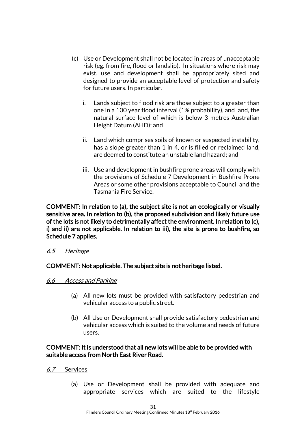- (c) Use or Development shall not be located in areas of unacceptable risk (eg. from fire, flood or landslip). In situations where risk may exist, use and development shall be appropriately sited and designed to provide an acceptable level of protection and safety for future users. In particular.
	- i. Lands subject to flood risk are those subject to a greater than one in a 100 year flood interval (1% probability), and land, the natural surface level of which is below 3 metres Australian Height Datum (AHD); and
	- ii. Land which comprises soils of known or suspected instability, has a slope greater than 1 in 4, or is filled or reclaimed land, are deemed to constitute an unstable land hazard; and
	- iii. Use and development in bushfire prone areas will comply with the provisions of Schedule 7 Development in Bushfire Prone Areas or some other provisions acceptable to Council and the Tasmania Fire Service.

COMMENT: In relation to (a), the subject site is not an ecologically or visually sensitive area. In relation to (b), the proposed subdivision and likely future use of the lots is not likely to detrimentally affect the environment. In relation to (c), i) and ii) are not applicable. In relation to iii), the site is prone to bushfire, so Schedule 7 applies.

#### 6.5 Heritage

#### COMMENT: Not applicable. The subject site is not heritage listed.

#### 6.6 Access and Parking

- (a) All new lots must be provided with satisfactory pedestrian and vehicular access to a public street.
- (b) All Use or Development shall provide satisfactory pedestrian and vehicular access which is suited to the volume and needs of future users.

#### COMMENT: It is understood that all new lots will be able to be provided with suitable access from North East River Road.

- 6.7 Services
	- (a) Use or Development shall be provided with adequate and appropriate services which are suited to the lifestyle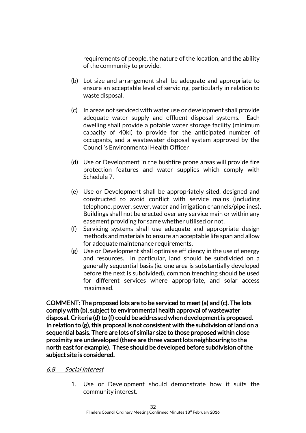requirements of people, the nature of the location, and the ability of the community to provide.

- (b) Lot size and arrangement shall be adequate and appropriate to ensure an acceptable level of servicing, particularly in relation to waste disposal.
- (c) In areas not serviced with water use or development shall provide adequate water supply and effluent disposal systems. Each dwelling shall provide a potable water storage facility (minimum capacity of 40kl) to provide for the anticipated number of occupants, and a wastewater disposal system approved by the Council's Environmental Health Officer
- (d) Use or Development in the bushfire prone areas will provide fire protection features and water supplies which comply with Schedule 7.
- (e) Use or Development shall be appropriately sited, designed and constructed to avoid conflict with service mains (including telephone, power, sewer, water and irrigation channels/pipelines). Buildings shall not be erected over any service main or within any easement providing for same whether utilised or not.
- (f) Servicing systems shall use adequate and appropriate design methods and materials to ensure an acceptable life span and allow for adequate maintenance requirements.
- (g) Use or Development shall optimise efficiency in the use of energy and resources. In particular, land should be subdivided on a generally sequential basis (ie. one area is substantially developed before the next is subdivided), common trenching should be used for different services where appropriate, and solar access maximised.

COMMENT: The proposed lots are to be serviced to meet (a) and (c). The lots comply with (b), subject to environmental health approval of wastewater disposal. Criteria (d) to (f) could be addressed when development is proposed. In relation to (g), this proposal is not consistent with the subdivision of land on a sequential basis. There are lots of similar size to those proposed within close proximity are undeveloped (there are three vacant lots neighbouring to the north east for example). These should be developed before subdivision of the subject site is considered.

#### 6.8 Social Interest

1. Use or Development should demonstrate how it suits the community interest.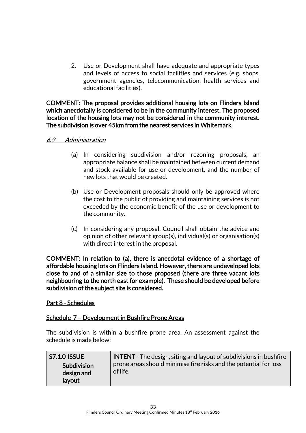2. Use or Development shall have adequate and appropriate types and levels of access to social facilities and services (e.g. shops, government agencies, telecommunication, health services and educational facilities).

COMMENT: The proposal provides additional housing lots on Flinders Island which anecdotally is considered to be in the community interest. The proposed location of the housing lots may not be considered in the community interest. The subdivision is over 45km from the nearest services in Whitemark.

#### 6.9 Administration

- (a) In considering subdivision and/or rezoning proposals, an appropriate balance shall be maintained between current demand and stock available for use or development, and the number of new lots that would be created.
- (b) Use or Development proposals should only be approved where the cost to the public of providing and maintaining services is not exceeded by the economic benefit of the use or development to the community.
- (c) In considering any proposal, Council shall obtain the advice and opinion of other relevant group(s), individual(s) or organisation(s) with direct interest in the proposal.

COMMENT: In relation to (a), there is anecdotal evidence of a shortage of affordable housing lots on Flinders Island. However, there are undeveloped lots close to and of a similar size to those proposed (there are three vacant lots neighbouring to the north east for example). These should be developed before subdivision of the subject site is considered.

#### Part 8 - Schedules

#### Schedule 7 – Development in Bushfire Prone Areas

The subdivision is within a bushfire prone area. An assessment against the schedule is made below:

| <b>S7.1.0 ISSUE</b>                 | <b>INTENT</b> - The design, siting and layout of subdivisions in bushfire     |
|-------------------------------------|-------------------------------------------------------------------------------|
| Subdivision<br>design and<br>layout | prone areas should minimise fire risks and the potential for loss<br>of life. |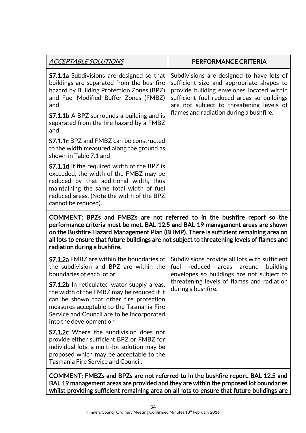| <u>ACCEPTABLE SOLUTIONS</u>                                                                                                                                                                                                                              | PERFORMANCE CRITERIA                                                                                                                                                                                                                                                                                                                                  |
|----------------------------------------------------------------------------------------------------------------------------------------------------------------------------------------------------------------------------------------------------------|-------------------------------------------------------------------------------------------------------------------------------------------------------------------------------------------------------------------------------------------------------------------------------------------------------------------------------------------------------|
| <b>S7.1.1a</b> Subdivisions are designed so that<br>buildings are separated from the bushfire<br>hazard by Building Protection Zones (BPZ)<br>and Fuel Modified Buffer Zones (FMBZ)<br>and                                                               | Subdivisions are designed to have lots of<br>sufficient size and appropriate shapes to<br>provide building envelopes located within<br>sufficient fuel reduced areas so buildings<br>are not subject to threatening levels of<br>flames and radiation during a bushfire.                                                                              |
| <b>S7.1.1b</b> A BPZ surrounds a building and is<br>separated from the fire hazard by a FMBZ<br>and                                                                                                                                                      |                                                                                                                                                                                                                                                                                                                                                       |
| <b>S7.1.1c</b> BPZ and FMBZ can be constructed<br>to the width measured along the ground as<br>shown in Table 7.1 and                                                                                                                                    |                                                                                                                                                                                                                                                                                                                                                       |
| <b>S7.1.1d</b> If the required width of the BPZ is<br>exceeded, the width of the FMBZ may be<br>reduced by that additional width, thus<br>maintaining the same total width of fuel<br>reduced areas. (Note the width of the BPZ<br>cannot be reduced).   |                                                                                                                                                                                                                                                                                                                                                       |
| radiation during a bushfire.                                                                                                                                                                                                                             | COMMENT: BPZs and FMBZs are not referred to in the bushfire report so the<br>performance criteria must be met. BAL 12.5 and BAL 19 management areas are shown<br>on the Bushfire Hazard Management Plan (BHMP). There is sufficient remaining area on<br>all lots to ensure that future buildings are not subject to threatening levels of flames and |
| <b>S7.1.2a</b> FMBZ are within the boundaries of<br>the subdivision and BPZ are within the<br>boundaries of each lot or                                                                                                                                  | Subdivisions provide all lots with sufficient<br>reduced<br>fuel<br>areas<br>around<br>building<br>envelopes so buildings are not subject to<br>threatening levels of flames and radiation<br>during a bushfire.                                                                                                                                      |
| S7.1.2b In reticulated water supply areas,<br>the width of the FMBZ may be reduced if it<br>can be shown that other fire protection<br>measures acceptable to the Tasmania Fire<br>Service and Council are to be incorporated<br>into the development or |                                                                                                                                                                                                                                                                                                                                                       |
| <b>S7.1.2c</b> Where the subdivision does not<br>provide either sufficient BPZ or FMBZ for<br>individual lots, a multi-lot solution may be<br>proposed which may be acceptable to the<br><b>Tasmania Fire Service and Council.</b>                       |                                                                                                                                                                                                                                                                                                                                                       |
|                                                                                                                                                                                                                                                          | COMMENT: EMRZs and RDZs are not referred to in the bushfire report RAL 12.5 and                                                                                                                                                                                                                                                                       |

COMMENT: FMBZs and BPZs are not referred to in the bushfire report. BAL 12.5 and BAL 19 management areas are provided and they are within the proposed lot boundaries whilst providing sufficient remaining area on all lots to ensure that future buildings are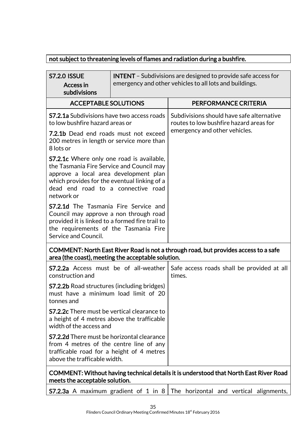# not subject to threatening levels of flames and radiation during a bushfire.

| <b>S7.2.0 ISSUE</b><br><b>Access in</b><br>subdivisions                                                                                                                                                                                    | <b>INTENT</b> - Subdivisions are designed to provide safe access for<br>emergency and other vehicles to all lots and buildings. |                                                                                                                       |
|--------------------------------------------------------------------------------------------------------------------------------------------------------------------------------------------------------------------------------------------|---------------------------------------------------------------------------------------------------------------------------------|-----------------------------------------------------------------------------------------------------------------------|
| <b>ACCEPTABLE SOLUTIONS</b>                                                                                                                                                                                                                |                                                                                                                                 | PERFORMANCE CRITERIA                                                                                                  |
| <b>S7.2.1a</b> Subdivisions have two access roads<br>to low bushfire hazard areas or                                                                                                                                                       |                                                                                                                                 | Subdivisions should have safe alternative<br>routes to low bushfire hazard areas for<br>emergency and other vehicles. |
| 7.2.1b Dead end roads must not exceed<br>200 metres in length or service more than<br>8 lots or                                                                                                                                            |                                                                                                                                 |                                                                                                                       |
| <b>S7.2.1c</b> Where only one road is available,<br>the Tasmania Fire Service and Council may<br>approve a local area development plan<br>which provides for the eventual linking of a<br>dead end road to a connective road<br>network or |                                                                                                                                 |                                                                                                                       |
| <b>S7.2.1d</b> The Tasmania Fire Service and<br>Council may approve a non through road<br>provided it is linked to a formed fire trail to<br>the requirements of the Tasmania Fire<br>Service and Council.                                 |                                                                                                                                 |                                                                                                                       |
| area (the coast), meeting the acceptable solution.                                                                                                                                                                                         |                                                                                                                                 | COMMENT: North East River Road is not a through road, but provides access to a safe                                   |
| <b>S7.2.2a</b> Access must be of all-weather<br>construction and                                                                                                                                                                           |                                                                                                                                 | Safe access roads shall be provided at all<br>times.                                                                  |
| <b>S7.2.2b</b> Road structures (including bridges)<br>must have a minimum load limit of 20<br>tonnes and                                                                                                                                   |                                                                                                                                 |                                                                                                                       |
| <b>S7.2.2c</b> There must be vertical clearance to<br>a height of 4 metres above the trafficable<br>width of the access and                                                                                                                |                                                                                                                                 |                                                                                                                       |
| <b>S7.2.2d</b> There must be horizontal clearance<br>from 4 metres of the centre line of any<br>trafficable road for a height of 4 metres<br>above the trafficable width.                                                                  |                                                                                                                                 |                                                                                                                       |
| COMMENT: Without having technical details it is understood that North East River Road<br>meets the acceptable solution.                                                                                                                    |                                                                                                                                 |                                                                                                                       |

**S7.2.3a** A maximum gradient of 1 in 8 The horizontal and vertical alignments,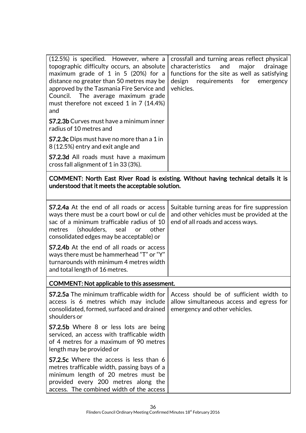| $(12.5%)$ is specified. However, where a<br>topographic difficulty occurs, an absolute<br>maximum grade of 1 in 5 (20%) for a<br>distance no greater than 50 metres may be<br>approved by the Tasmania Fire Service and<br>Council. The average maximum grade<br>must therefore not exceed 1 in 7 (14.4%)<br>and | crossfall and turning areas reflect physical<br>characteristics and major<br>drainage<br>functions for the site as well as satisfying<br>design requirements for emergency<br>vehicles. |
|------------------------------------------------------------------------------------------------------------------------------------------------------------------------------------------------------------------------------------------------------------------------------------------------------------------|-----------------------------------------------------------------------------------------------------------------------------------------------------------------------------------------|
| <b>S7.2.3b</b> Curves must have a minimum inner<br>radius of 10 metres and                                                                                                                                                                                                                                       |                                                                                                                                                                                         |
| <b>S7.2.3c</b> Dips must have no more than a 1 in<br>8 (12.5%) entry and exit angle and                                                                                                                                                                                                                          |                                                                                                                                                                                         |
| <b>S7.2.3d</b> All roads must have a maximum<br>cross fall alignment of 1 in 33 (3%).                                                                                                                                                                                                                            |                                                                                                                                                                                         |

COMMENT: North East River Road is existing. Without having technical details it is understood that it meets the acceptable solution.

| <b>S7.2.4a</b> At the end of all roads or access<br>ways there must be a court bowl or cul de<br>sac of a minimum trafficable radius of 10<br>metres (shoulders, seal<br><b>or</b><br>other<br>consolidated edges may be acceptable) or | Suitable turning areas for fire suppression<br>and other vehicles must be provided at the<br>end of all roads and access ways. |  |
|-----------------------------------------------------------------------------------------------------------------------------------------------------------------------------------------------------------------------------------------|--------------------------------------------------------------------------------------------------------------------------------|--|
| <b>S7.2.4b</b> At the end of all roads or access<br>ways there must be hammerhead "T" or "Y"<br>turnarounds with minimum 4 metres width<br>and total length of 16 metres.                                                               |                                                                                                                                |  |
| COMMENT: Not applicable to this assessment.                                                                                                                                                                                             |                                                                                                                                |  |
| <b>S7.2.5a</b> The minimum trafficable width for<br>access is 6 metres which may include<br>consolidated, formed, surfaced and drained<br>shoulders or                                                                                  | Access should be of sufficient width to<br>allow simultaneous access and egress for<br>emergency and other vehicles.           |  |
| <b>S7.2.5b</b> Where 8 or less lots are being<br>serviced, an access with trafficable width<br>of 4 metres for a maximum of 90 metres<br>length may be provided or                                                                      |                                                                                                                                |  |
| S7.2.5c Where the access is less than 6<br>metres trafficable width, passing bays of a<br>minimum length of 20 metres must be<br>provided every 200 metres along the<br>access. The combined width of the access                        |                                                                                                                                |  |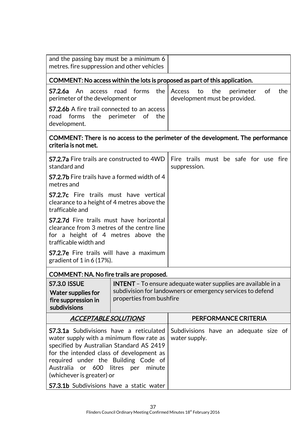| and the passing bay must be a minimum 6<br>metres. fire suppression and other vehicles                                                                                                                                                                                                                   |  |                                                                                           |  |
|----------------------------------------------------------------------------------------------------------------------------------------------------------------------------------------------------------------------------------------------------------------------------------------------------------|--|-------------------------------------------------------------------------------------------|--|
|                                                                                                                                                                                                                                                                                                          |  | COMMENT: No access within the lots is proposed as part of this application.               |  |
| forms<br>the<br>S7.2.6a<br>An<br>road<br>access<br>perimeter of the development or                                                                                                                                                                                                                       |  | the<br>Access<br>to<br>perimeter<br><sub>of</sub><br>the<br>development must be provided. |  |
| <b>S7.2.6b</b> A fire trail connected to an access<br>forms<br>the<br>perimeter<br><sub>of</sub><br>the<br>road<br>development.                                                                                                                                                                          |  |                                                                                           |  |
| COMMENT: There is no access to the perimeter of the development. The performance<br>criteria is not met.                                                                                                                                                                                                 |  |                                                                                           |  |
| <b>S7.2.7a</b> Fire trails are constructed to 4WD<br>standard and                                                                                                                                                                                                                                        |  | Fire trails must be safe for use fire<br>suppression.                                     |  |
| <b>S7.2.7b</b> Fire trails have a formed width of 4<br>metres and                                                                                                                                                                                                                                        |  |                                                                                           |  |
| <b>S7.2.7c</b> Fire trails must have vertical<br>clearance to a height of 4 metres above the<br>trafficable and                                                                                                                                                                                          |  |                                                                                           |  |
| <b>S7.2.7d</b> Fire trails must have horizontal<br>clearance from 3 metres of the centre line<br>for a height of 4 metres above the<br>trafficable width and                                                                                                                                             |  |                                                                                           |  |
| S7.2.7e Fire trails will have a maximum<br>gradient of $1$ in 6 (17%).                                                                                                                                                                                                                                   |  |                                                                                           |  |
| COMMENT: NA. No fire trails are proposed.                                                                                                                                                                                                                                                                |  |                                                                                           |  |
| <b>S7.3.0 ISSUE</b><br><b>INTENT</b> - To ensure adequate water supplies are available in a<br>subdivision for landowners or emergency services to defend<br><b>Water supplies for</b><br>properties from bushfire<br>fire suppression in<br>subdivisions                                                |  |                                                                                           |  |
| <b>ACCEPTABLE SOLUTIONS</b>                                                                                                                                                                                                                                                                              |  | PERFORMANCE CRITERIA                                                                      |  |
| <b>S7.3.1a</b> Subdivisions have a reticulated<br>water supply with a minimum flow rate as<br>specified by Australian Standard AS 2419<br>for the intended class of development as<br>required under the Building Code of<br>Australia<br>litres<br>minute<br>or 600<br>per<br>(whichever is greater) or |  | Subdivisions have an adequate size of<br>water supply.                                    |  |
| <b>S7.3.1b</b> Subdivisions have a static water                                                                                                                                                                                                                                                          |  |                                                                                           |  |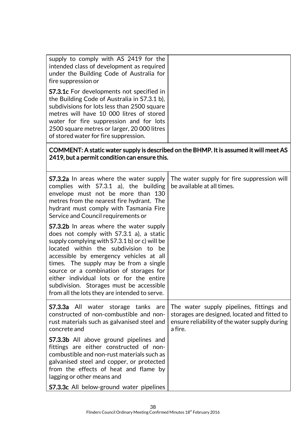| supply to comply with AS 2419 for the<br>intended class of development as required<br>under the Building Code of Australia for<br>fire suppression or<br><b>S7.3.1c</b> For developments not specified in                                                                                                                                                                                                                                                    |                                                                                                                                                      |
|--------------------------------------------------------------------------------------------------------------------------------------------------------------------------------------------------------------------------------------------------------------------------------------------------------------------------------------------------------------------------------------------------------------------------------------------------------------|------------------------------------------------------------------------------------------------------------------------------------------------------|
| the Building Code of Australia in S7.3.1 b),<br>subdivisions for lots less than 2500 square<br>metres will have 10 000 litres of stored<br>water for fire suppression and for lots<br>2500 square metres or larger, 20 000 litres<br>of stored water for fire suppression.                                                                                                                                                                                   |                                                                                                                                                      |
| 2419, but a permit condition can ensure this.                                                                                                                                                                                                                                                                                                                                                                                                                | COMMENT: A static water supply is described on the BHMP. It is assumed it will meet AS                                                               |
| <b>S7.3.2a</b> In areas where the water supply<br>complies with S7.3.1 a), the building<br>envelope must not be more than 130<br>metres from the nearest fire hydrant. The<br>hydrant must comply with Tasmania Fire<br>Service and Council requirements or                                                                                                                                                                                                  | The water supply for fire suppression will<br>be available at all times.                                                                             |
| <b>S7.3.2b</b> In areas where the water supply<br>does not comply with S7.3.1 a), a static<br>supply complying with S7.3.1 b) or c) will be<br>located within the subdivision to be<br>accessible by emergency vehicles at all<br>times. The supply may be from a single<br>source or a combination of storages for<br>either individual lots or for the entire<br>subdivision. Storages must be accessible<br>from all the lots they are intended to serve. |                                                                                                                                                      |
| <b>S7.3.3a</b> All<br>water storage tanks are<br>constructed of non-combustible and non-<br>rust materials such as galvanised steel and<br>concrete and                                                                                                                                                                                                                                                                                                      | The water supply pipelines, fittings and<br>storages are designed, located and fitted to<br>ensure reliability of the water supply during<br>a fire. |
| <b>S7.3.3b</b> All above ground pipelines and<br>fittings are either constructed of non-<br>combustible and non-rust materials such as<br>galvanised steel and copper, or protected<br>from the effects of heat and flame by<br>lagging or other means and<br><b>S7.3.3c</b> All below-ground water pipelines                                                                                                                                                |                                                                                                                                                      |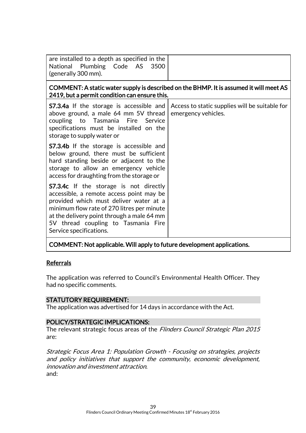| are installed to a depth as specified in the<br>National Plumbing Code AS<br>3500<br>(generally 300 mm).                                                                                                                                                                                          |                                                                       |  |
|---------------------------------------------------------------------------------------------------------------------------------------------------------------------------------------------------------------------------------------------------------------------------------------------------|-----------------------------------------------------------------------|--|
| COMMENT: A static water supply is described on the BHMP. It is assumed it will meet AS<br>2419, but a permit condition can ensure this.                                                                                                                                                           |                                                                       |  |
| <b>S7.3.4a</b> If the storage is accessible and<br>above ground, a male 64 mm 5V thread<br>coupling to Tasmania<br>Fire<br>Service<br>specifications must be installed on the<br>storage to supply water or                                                                                       | Access to static supplies will be suitable for<br>emergency vehicles. |  |
| <b>S7.3.4b</b> If the storage is accessible and<br>below ground, there must be sufficient<br>hard standing beside or adjacent to the<br>storage to allow an emergency vehicle<br>access for draughting from the storage or                                                                        |                                                                       |  |
| <b>S7.3.4c</b> If the storage is not directly<br>accessible, a remote access point may be<br>provided which must deliver water at a<br>minimum flow rate of 270 litres per minute<br>at the delivery point through a male 64 mm<br>5V thread coupling to Tasmania Fire<br>Service specifications. |                                                                       |  |
| COMMENT: Not applicable. Will apply to future development applications.                                                                                                                                                                                                                           |                                                                       |  |

#### Referrals

The application was referred to Council's Environmental Health Officer. They had no specific comments.

#### STATUTORY REQUIREMENT:

The application was advertised for 14 days in accordance with the Act.

#### POLICY/STRATEGIC IMPLICATIONS:

The relevant strategic focus areas of the Flinders Council Strategic Plan 2015 are:

Strategic Focus Area 1: Population Growth - Focusing on strategies, projects and policy initiatives that support the community, economic development, innovation and investment attraction. and: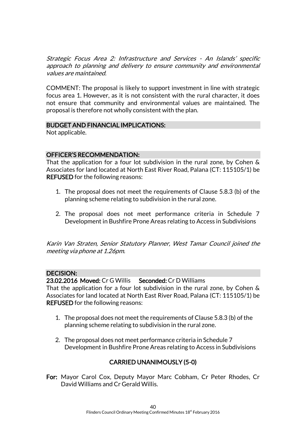Strategic Focus Area 2: Infrastructure and Services - An Islands' specific approach to planning and delivery to ensure community and environmental values are maintained.

COMMENT: The proposal is likely to support investment in line with strategic focus area 1. However, as it is not consistent with the rural character, it does not ensure that community and environmental values are maintained. The proposal is therefore not wholly consistent with the plan.

#### BUDGET AND FINANCIAL IMPLICATIONS:

Not applicable.

#### OFFICER'S RECOMMENDATION:

That the application for a four lot subdivision in the rural zone, by Cohen & Associates for land located at North East River Road, Palana (CT: 115105/1) be REFUSED for the following reasons:

- 1. The proposal does not meet the requirements of Clause 5.8.3 (b) of the planning scheme relating to subdivision in the rural zone.
- 2. The proposal does not meet performance criteria in Schedule 7 Development in Bushfire Prone Areas relating to Access in Subdivisions

Karin Van Straten, Senior Statutory Planner, West Tamar Council joined the meeting via phone at 1.26pm.

#### DECISION:

23.02.2016 Moved: Cr G Willis Seconded: Cr D Williams That the application for a four lot subdivision in the rural zone, by Cohen & Associates for land located at North East River Road, Palana (CT: 115105/1) be REFUSED for the following reasons:

- 1. The proposal does not meet the requirements of Clause 5.8.3 (b) of the planning scheme relating to subdivision in the rural zone.
- 2. The proposal does not meet performance criteria in Schedule 7 Development in Bushfire Prone Areas relating to Access in Subdivisions

# CARRIED UNANIMOUSLY (5-0)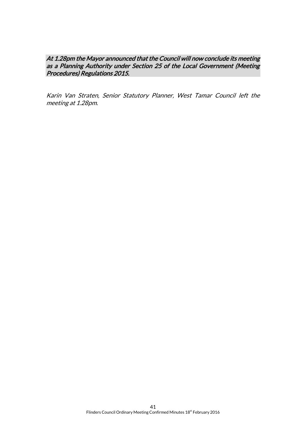#### At 1.28pm the Mayor announced that the Council will now conclude its meeting as a Planning Authority under Section 25 of the Local Government (Meeting Procedures) Regulations 2015.

Karin Van Straten, Senior Statutory Planner, West Tamar Council left the meeting at 1.28pm.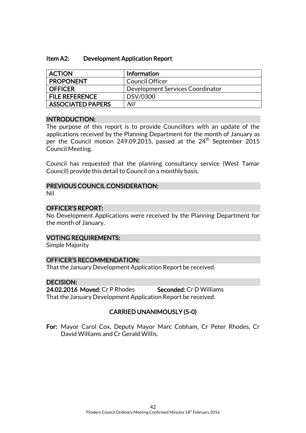#### Item A2: Development Application Report

| <b>ACTION</b>         | <b>Information</b>               |
|-----------------------|----------------------------------|
| <b>PROPONENT</b>      | Council Officer                  |
| I OFFICER             | Development Services Coordinator |
| <b>FILE REFERENCE</b> | DSV/0300                         |
| ASSOCIATED PAPERS     | Nil                              |

#### INTRODUCTION:

The purpose of this report is to provide Councillors with an update of the applications received by the Planning Department for the month of January as per the Council motion 249.09.2015, passed at the 24<sup>th</sup> September 2015 Council Meeting.

Council has requested that the planning consultancy service (West Tamar Council) provide this detail to Council on a monthly basis.

#### PREVIOUS COUNCIL CONSIDERATION:

Nil

#### OFFICER'S REPORT:

No Development Applications were received by the Planning Department for the month of January.

#### VOTING REQUIREMENTS:

Simple Majority

#### OFFICER'S RECOMMENDATION:

That the January Development Application Report be received.

#### DECISION:

24.02.2016 Moved: Cr P Rhodes Seconded: Cr D Williams That the January Development Application Report be received.

#### CARRIED UNANIMOUSLY (5-0)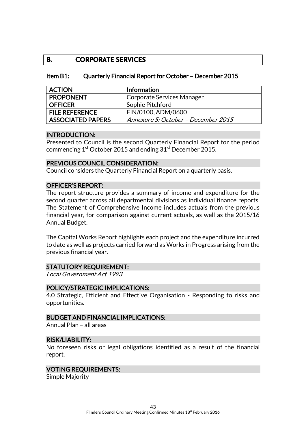# **B. CORPORATE SERVICES**

#### Item B1: Quarterly Financial Report for October – December 2015

| <b>ACTION</b>            | Information                         |
|--------------------------|-------------------------------------|
| <b>PROPONENT</b>         | Corporate Services Manager          |
| <b>OFFICER</b>           | Sophie Pitchford                    |
| <b>FILE REFERENCE</b>    | FIN/0100, ADM/0600                  |
| <b>ASSOCIATED PAPERS</b> | Annexure 5: October – December 2015 |

#### INTRODUCTION:

Presented to Council is the second Quarterly Financial Report for the period commencing  $1<sup>st</sup>$  October 2015 and ending  $31<sup>st</sup>$  December 2015.

# PREVIOUS COUNCIL CONSIDERATION:

Council considers the Quarterly Financial Report on a quarterly basis.

#### OFFICER'S REPORT:

The report structure provides a summary of income and expenditure for the second quarter across all departmental divisions as individual finance reports. The Statement of Comprehensive Income includes actuals from the previous financial year, for comparison against current actuals, as well as the 2015/16 Annual Budget.

The Capital Works Report highlights each project and the expenditure incurred to date as well as projects carried forward as Works in Progress arising from the previous financial year.

#### STATUTORY REQUIREMENT:

Local Government Act 1993

#### POLICY/STRATEGIC IMPLICATIONS:

4.0 Strategic, Efficient and Effective Organisation - Responding to risks and opportunities.

#### BUDGET AND FINANCIAL IMPLICATIONS:

Annual Plan – all areas

#### RISK/LIABILITY:

No foreseen risks or legal obligations identified as a result of the financial report.

#### VOTING REQUIREMENTS:

Simple Majority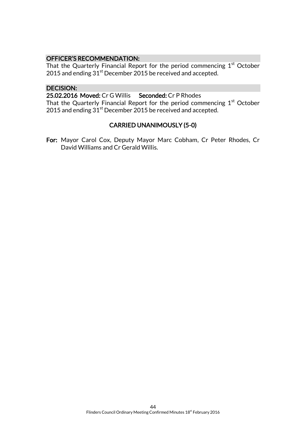#### OFFICER'S RECOMMENDATION:

That the Quarterly Financial Report for the period commencing  $1<sup>st</sup>$  October 2015 and ending 31<sup>st</sup> December 2015 be received and accepted.

# DECISION:

25.02.2016 Moved: Cr G Willis Seconded: Cr P Rhodes

That the Quarterly Financial Report for the period commencing  $1<sup>st</sup>$  October 2015 and ending  $31<sup>st</sup>$  December 2015 be received and accepted.

#### CARRIED UNANIMOUSLY (5-0)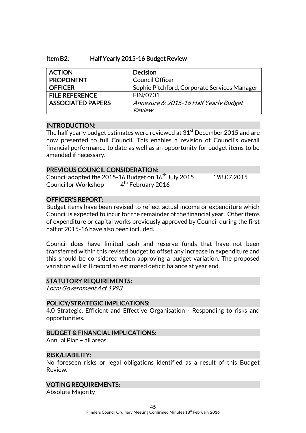#### Item B2: Half Yearly 2015-16 Budget Review

| <b>ACTION</b>            | <b>Decision</b>                              |
|--------------------------|----------------------------------------------|
| <b>PROPONENT</b>         | <b>Council Officer</b>                       |
| <b>OFFICER</b>           | Sophie Pitchford, Corporate Services Manager |
| <b>FILE REFERENCE</b>    | FIN/0701                                     |
| <b>ASSOCIATED PAPERS</b> | Annexure 6: 2015-16 Half Yearly Budget       |
|                          | Review                                       |

#### INTRODUCTION:

The half yearly budget estimates were reviewed at  $31<sup>st</sup>$  December 2015 and are now presented to full Council. This enables a revision of Council's overall financial performance to date as well as an opportunity for budget items to be amended if necessary.

#### PREVIOUS COUNCIL CONSIDERATION:

Council adopted the 2015-16 Budget on  $16^{th}$  July 2015 198.07.2015 Councillor Workshop 4  $4<sup>th</sup>$  February 2016

#### OFFICER'S REPORT:

Budget items have been revised to reflect actual income or expenditure which Council is expected to incur for the remainder of the financial year. Other items of expenditure or capital works previously approved by Council during the first half of 2015-16 have also been included.

Council does have limited cash and reserve funds that have not been transferred within this revised budget to offset any increase in expenditure and this should be considered when approving a budget variation. The proposed variation will still record an estimated deficit balance at year end.

#### STATUTORY REQUIREMENTS:

Local Government Act 1993

#### POLICY/STRATEGIC IMPLICATIONS:

4.0 Strategic, Efficient and Effective Organisation - Responding to risks and opportunities.

#### BUDGET & FINANCIAL IMPLICATIONS:

Annual Plan – all areas

#### RISK/LIABILITY:

No foreseen risks or legal obligations identified as a result of this Budget Review.

#### VOTING REQUIREMENTS:

Absolute Majority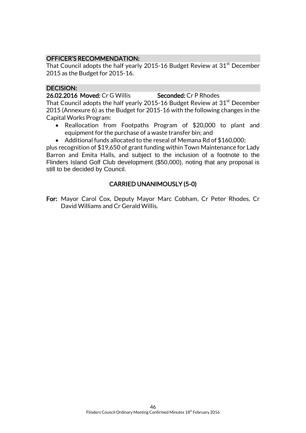# OFFICER'S RECOMMENDATION:

That Council adopts the half yearly 2015-16 Budget Review at  $31<sup>st</sup>$  December 2015 as the Budget for 2015-16.

#### DECISION:

26.02.2016 Moved: Cr G Willis Seconded: Cr P Rhodes

That Council adopts the half yearly 2015-16 Budget Review at  $31<sup>st</sup>$  December 2015 (Annexure 6) as the Budget for 2015-16 with the following changes in the Capital Works Program:

- Reallocation from Footpaths Program of \$20,000 to plant and equipment for the purchase of a waste transfer bin; and
- Additional funds allocated to the reseal of Memana Rd of \$160,000;

plus recognition of \$19,650 of grant funding within Town Maintenance for Lady Barron and Emita Halls, and subject to the inclusion of a footnote to the Flinders Island Golf Club development (\$50,000), noting that any proposal is still to be decided by Council.

# CARRIED UNANIMOUSLY (5-0)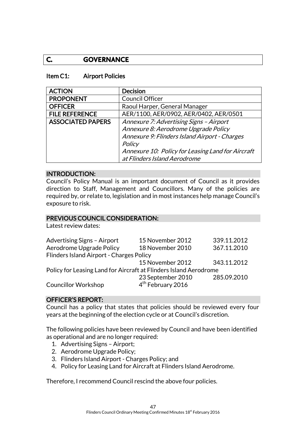# **C. GOVERNANCE**

#### Item C1: Airport Policies

| <b>ACTION</b>            | <b>Decision</b>                                   |
|--------------------------|---------------------------------------------------|
| <b>PROPONENT</b>         | <b>Council Officer</b>                            |
| <b>OFFICER</b>           | Raoul Harper, General Manager                     |
| <b>FILE REFERENCE</b>    | AER/1100, AER/0902, AER/0402, AER/0501            |
| <b>ASSOCIATED PAPERS</b> | Annexure 7: Advertising Signs - Airport           |
|                          | Annexure 8: Aerodrome Upgrade Policy              |
|                          | Annexure 9: Flinders Island Airport - Charges     |
|                          | Policy                                            |
|                          | Annexure 10: Policy for Leasing Land for Aircraft |
|                          | at Flinders Island Aerodrome                      |

#### INTRODUCTION:

Council's Policy Manual is an important document of Council as it provides direction to Staff, Management and Councillors. Many of the policies are required by, or relate to, legislation and in most instances help manage Council's exposure to risk.

#### PREVIOUS COUNCIL CONSIDERATION:

Latest review dates:

| Advertising Signs - Airport                                       | 15 November 2012              | 339.11.2012 |  |
|-------------------------------------------------------------------|-------------------------------|-------------|--|
| Aerodrome Upgrade Policy                                          | 18 November 2010              | 367.11.2010 |  |
| Flinders Island Airport - Charges Policy                          |                               |             |  |
|                                                                   | 15 November 2012              | 343.11.2012 |  |
| Policy for Leasing Land for Aircraft at Flinders Island Aerodrome |                               |             |  |
|                                                                   | 23 September 2010             | 285.09.2010 |  |
| <b>Councillor Workshop</b>                                        | 4 <sup>th</sup> February 2016 |             |  |

#### OFFICER'S REPORT:

Council has a policy that states that policies should be reviewed every four years at the beginning of the election cycle or at Council's discretion.

The following policies have been reviewed by Council and have been identified as operational and are no longer required:

- 1. Advertising Signs Airport;
- 2. Aerodrome Upgrade Policy;
- 3. Flinders Island Airport Charges Policy; and
- 4. Policy for Leasing Land for Aircraft at Flinders Island Aerodrome.

Therefore, I recommend Council rescind the above four policies.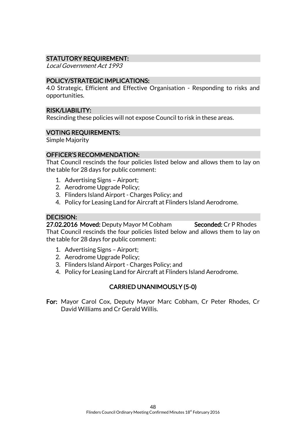# STATUTORY REQUIREMENT:

Local Government Act 1993

#### POLICY/STRATEGIC IMPLICATIONS:

4.0 Strategic, Efficient and Effective Organisation - Responding to risks and opportunities.

#### RISK/LIABILITY:

Rescinding these policies will not expose Council to risk in these areas.

#### VOTING REQUIREMENTS:

Simple Majority

#### OFFICER'S RECOMMENDATION:

That Council rescinds the four policies listed below and allows them to lay on the table for 28 days for public comment:

- 1. Advertising Signs Airport;
- 2. Aerodrome Upgrade Policy;
- 3. Flinders Island Airport Charges Policy; and
- 4. Policy for Leasing Land for Aircraft at Flinders Island Aerodrome.

# DECISION:

27.02.2016 Moved: Deputy Mayor M Cobham Seconded: Cr P Rhodes That Council rescinds the four policies listed below and allows them to lay on the table for 28 days for public comment:

- 1. Advertising Signs Airport;
- 2. Aerodrome Upgrade Policy;
- 3. Flinders Island Airport Charges Policy; and
- 4. Policy for Leasing Land for Aircraft at Flinders Island Aerodrome.

#### CARRIED UNANIMOUSLY (5-0)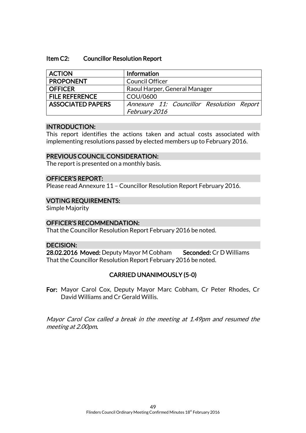#### Item C2: Councillor Resolution Report

| <b>ACTION</b>            | Information                               |
|--------------------------|-------------------------------------------|
| <b>PROPONENT</b>         | <b>Council Officer</b>                    |
| <b>OFFICER</b>           | Raoul Harper, General Manager             |
| <b>FILE REFERENCE</b>    | COU/0600                                  |
| <b>ASSOCIATED PAPERS</b> | Annexure 11: Councillor Resolution Report |
|                          | February 2016                             |

#### INTRODUCTION:

This report identifies the actions taken and actual costs associated with implementing resolutions passed by elected members up to February 2016.

#### PREVIOUS COUNCIL CONSIDERATION:

The report is presented on a monthly basis.

#### OFFICER'S REPORT:

Please read Annexure 11 – Councillor Resolution Report February 2016.

#### VOTING REQUIREMENTS:

Simple Majority

#### OFFICER'S RECOMMENDATION:

That the Councillor Resolution Report February 2016 be noted.

#### DECISION:

28.02.2016 Moved: Deputy Mayor M Cobham Seconded: Cr D Williams That the Councillor Resolution Report February 2016 be noted.

#### CARRIED UNANIMOUSLY (5-0)

For: Mayor Carol Cox, Deputy Mayor Marc Cobham, Cr Peter Rhodes, Cr David Williams and Cr Gerald Willis.

Mayor Carol Cox called a break in the meeting at 1.49pm and resumed the meeting at 2.00pm.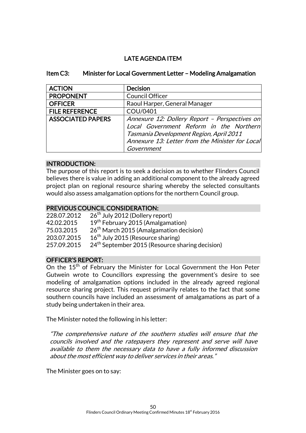# LATE AGENDA ITEM

#### Item C3: Minister for Local Government Letter – Modeling Amalgamation

| <b>ACTION</b>            | <b>Decision</b>                                                                                                                                                                                      |
|--------------------------|------------------------------------------------------------------------------------------------------------------------------------------------------------------------------------------------------|
| <b>PROPONENT</b>         | <b>Council Officer</b>                                                                                                                                                                               |
| <b>OFFICER</b>           | Raoul Harper, General Manager                                                                                                                                                                        |
| <b>FILE REFERENCE</b>    | COU/0401                                                                                                                                                                                             |
| <b>ASSOCIATED PAPERS</b> | Annexure 12: Dollery Report - Perspectives on<br>Local Government Reform in the Northern<br>Tasmania Development Region, April 2011<br>Annexure 13: Letter from the Minister for Local<br>Government |

#### INTRODUCTION:

The purpose of this report is to seek a decision as to whether Flinders Council believes there is value in adding an additional component to the already agreed project plan on regional resource sharing whereby the selected consultants would also assess amalgamation options for the northern Council group.

#### PREVIOUS COUNCIL CONSIDERATION:

| 228.07.2012 | 26 <sup>th</sup> July 2012 (Dollery report)                 |
|-------------|-------------------------------------------------------------|
| 42.02.2015  | 19 <sup>th</sup> February 2015 (Amalgamation)               |
| 75.03.2015  | 26 <sup>th</sup> March 2015 (Amalgamation decision)         |
| 203.07.2015 | 16 <sup>th</sup> July 2015 (Resource sharing)               |
| 257.09.2015 | 24 <sup>th</sup> September 2015 (Resource sharing decision) |

#### OFFICER'S REPORT:

On the 15<sup>th</sup> of February the Minister for Local Government the Hon Peter Gutwein wrote to Councillors expressing the government's desire to see modeling of amalgamation options included in the already agreed regional resource sharing project. This request primarily relates to the fact that some southern councils have included an assessment of amalgamations as part of a study being undertaken in their area.

The Minister noted the following in his letter:

"The comprehensive nature of the southern studies will ensure that the councils involved and the ratepayers they represent and serve will have available to them the necessary data to have a fully informed discussion about the most efficient way to deliver services in their areas."

The Minister goes on to say: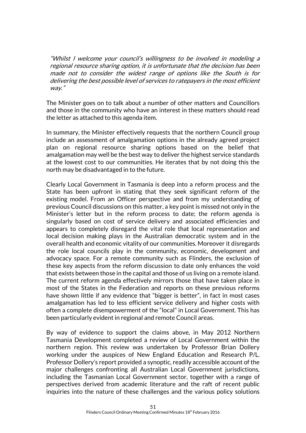"Whilst I welcome your council's willingness to be involved in modeling a regional resource sharing option, it is unfortunate that the decision has been made not to consider the widest range of options like the South is for delivering the best possible level of services to ratepayers in the most efficient way."

The Minister goes on to talk about a number of other matters and Councillors and those in the community who have an interest in these matters should read the letter as attached to this agenda item.

In summary, the Minister effectively requests that the northern Council group include an assessment of amalgamation options in the already agreed project plan on regional resource sharing options based on the belief that amalgamation may well be the best way to deliver the highest service standards at the lowest cost to our communities. He iterates that by not doing this the north may be disadvantaged in to the future.

Clearly Local Government in Tasmania is deep into a reform process and the State has been upfront in stating that they seek significant reform of the existing model. From an Officer perspective and from my understanding of previous Council discussions on this matter, a key point is missed not only in the Minister's letter but in the reform process to date; the reform agenda is singularly based on cost of service delivery and associated efficiencies and appears to completely disregard the vital role that local representation and local decision making plays in the Australian democratic system and in the overall health and economic vitality of our communities. Moreover it disregards the role local councils play in the community, economic, development and advocacy space. For a remote community such as Flinders, the exclusion of these key aspects from the reform discussion to date only enhances the void that exists between those in the capital and those of us living on a remote island. The current reform agenda effectively mirrors those that have taken place in most of the States in the Federation and reports on these previous reforms have shown little if any evidence that "bigger is better", in fact in most cases amalgamation has led to less efficient service delivery and higher costs with often a complete disempowerment of the "local" in Local Government. This has been particularly evident in regional and remote Council areas.

By way of evidence to support the claims above, in May 2012 Northern Tasmania Development completed a review of Local Government within the northern region. This review was undertaken by Professor Brian Dollery working under the auspices of New England Education and Research P/L. Professor Dollery's report provided a synoptic, readily accessible account of the major challenges confronting all Australian Local Government jurisdictions, including the Tasmanian Local Government sector, together with a range of perspectives derived from academic literature and the raft of recent public inquiries into the nature of these challenges and the various policy solutions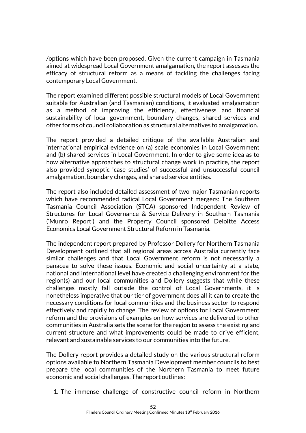/options which have been proposed. Given the current campaign in Tasmania aimed at widespread Local Government amalgamation, the report assesses the efficacy of structural reform as a means of tackling the challenges facing contemporary Local Government.

The report examined different possible structural models of Local Government suitable for Australian (and Tasmanian) conditions, it evaluated amalgamation as a method of improving the efficiency, effectiveness and financial sustainability of local government, boundary changes, shared services and other forms of council collaboration as structural alternatives to amalgamation.

The report provided a detailed critique of the available Australian and international empirical evidence on (a) scale economies in Local Government and (b) shared services in Local Government. In order to give some idea as to how alternative approaches to structural change work in practice, the report also provided synoptic 'case studies' of successful and unsuccessful council amalgamation, boundary changes, and shared service entities.

The report also included detailed assessment of two major Tasmanian reports which have recommended radical Local Government mergers: The Southern Tasmania Council Association (STCA) sponsored Independent Review of Structures for Local Governance & Service Delivery in Southern Tasmania ('Munro Report') and the Property Council sponsored Deloitte Access Economics Local Government Structural Reform in Tasmania.

The independent report prepared by Professor Dollery for Northern Tasmania Development outlined that all regional areas across Australia currently face similar challenges and that Local Government reform is not necessarily a panacea to solve these issues. Economic and social uncertainty at a state, national and international level have created a challenging environment for the region(s) and our local communities and Dollery suggests that while these challenges mostly fall outside the control of Local Governments, it is nonetheless imperative that our tier of government does all it can to create the necessary conditions for local communities and the business sector to respond effectively and rapidly to change. The review of options for Local Government reform and the provisions of examples on how services are delivered to other communities in Australia sets the scene for the region to assess the existing and current structure and what improvements could be made to drive efficient, relevant and sustainable services to our communities into the future.

The Dollery report provides a detailed study on the various structural reform options available to Northern Tasmania Development member councils to best prepare the local communities of the Northern Tasmania to meet future economic and social challenges. The report outlines:

1. The immense challenge of constructive council reform in Northern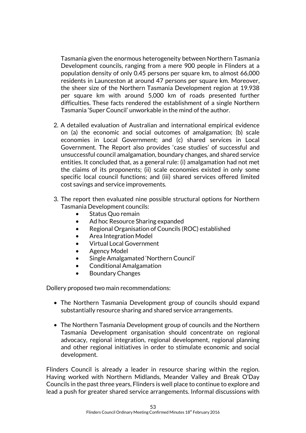Tasmania given the enormous heterogeneity between Northern Tasmania Development councils, ranging from a mere 900 people in Flinders at a population density of only 0.45 persons per square km, to almost 66,000 residents in Launceston at around 47 persons per square km. Moreover, the sheer size of the Northern Tasmania Development region at 19.938 per square km with around 5,000 km of roads presented further difficulties. These facts rendered the establishment of a single Northern Tasmania 'Super Council' unworkable in the mind of the author.

- 2. A detailed evaluation of Australian and international empirical evidence on (a) the economic and social outcomes of amalgamation; (b) scale economies in Local Government; and (c) shared services in Local Government. The Report also provides 'case studies' of successful and unsuccessful council amalgamation, boundary changes, and shared service entities. It concluded that, as a general rule: (i) amalgamation had not met the claims of its proponents; (ii) scale economies existed in only some specific local council functions; and (iii) shared services offered limited cost savings and service improvements.
- 3. The report then evaluated nine possible structural options for Northern Tasmania Development councils:
	- Status Quo remain
	- Ad hoc Resource Sharing expanded
	- Regional Organisation of Councils (ROC) established
	- Area Integration Model
	- Virtual Local Government
	- Agency Model
	- Single Amalgamated 'Northern Council'
	- Conditional Amalgamation
	- Boundary Changes

Dollery proposed two main recommendations:

- The Northern Tasmania Development group of councils should expand substantially resource sharing and shared service arrangements.
- The Northern Tasmania Development group of councils and the Northern Tasmania Development organisation should concentrate on regional advocacy, regional integration, regional development, regional planning and other regional initiatives in order to stimulate economic and social development.

Flinders Council is already a leader in resource sharing within the region. Having worked with Northern Midlands, Meander Valley and Break O'Day Councils in the past three years, Flinders is well place to continue to explore and lead a push for greater shared service arrangements. Informal discussions with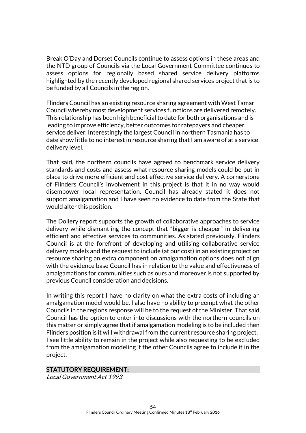Break O'Day and Dorset Councils continue to assess options in these areas and the NTD group of Councils via the Local Government Committee continues to assess options for regionally based shared service delivery platforms highlighted by the recently developed regional shared services project that is to be funded by all Councils in the region.

Flinders Council has an existing resource sharing agreement with West Tamar Council whereby most development services functions are delivered remotely. This relationship has been high beneficial to date for both organisations and is leading to improve efficiency, better outcomes for ratepayers and cheaper service deliver. Interestingly the largest Council in northern Tasmania has to date show little to no interest in resource sharing that I am aware of at a service delivery level.

That said, the northern councils have agreed to benchmark service delivery standards and costs and assess what resource sharing models could be put in place to drive more efficient and cost effective service delivery. A cornerstone of Flinders Council's involvement in this project is that it in no way would disempower local representation. Council has already stated it does not support amalgamation and I have seen no evidence to date from the State that would alter this position.

The Dollery report supports the growth of collaborative approaches to service delivery while dismantling the concept that "bigger is cheaper" in delivering efficient and effective services to communities. As stated previously, Flinders Council is at the forefront of developing and utilising collaborative service delivery models and the request to include (at our cost) in an existing project on resource sharing an extra component on amalgamation options does not align with the evidence base Council has in relation to the value and effectiveness of amalgamations for communities such as ours and moreover is not supported by previous Council consideration and decisions.

In writing this report I have no clarity on what the extra costs of including an amalgamation model would be. I also have no ability to preempt what the other Councils in the regions response will be to the request of the Minister. That said, Council has the option to enter into discussions with the northern councils on this matter or simply agree that if amalgamation modeling is to be included then Flinders position is it will withdrawal from the current resource sharing project. I see little ability to remain in the project while also requesting to be excluded from the amalgamation modeling if the other Councils agree to include it in the project.

#### STATUTORY REQUIREMENT:

Local Government Act 1993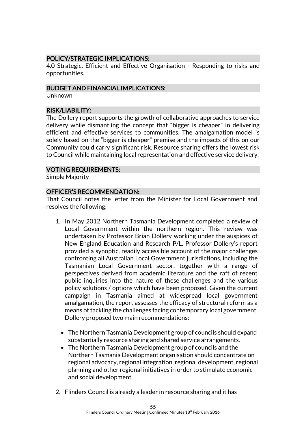# POLICY/STRATEGIC IMPLICATIONS:

4.0 Strategic, Efficient and Effective Organisation - Responding to risks and opportunities.

#### BUDGET AND FINANCIAL IMPLICATIONS:

Unknown

#### RISK/LIABILITY:

The Dollery report supports the growth of collaborative approaches to service delivery while dismantling the concept that "bigger is cheaper" in delivering efficient and effective services to communities. The amalgamation model is solely based on the "bigger is cheaper" premise and the impacts of this on our Community could carry significant risk. Resource sharing offers the lowest risk to Council while maintaining local representation and effective service delivery.

#### VOTING REQUIREMENTS:

Simple Majority

#### OFFICER'S RECOMMENDATION:

That Council notes the letter from the Minister for Local Government and resolves the following:

- 1. In May 2012 Northern Tasmania Development completed a review of Local Government within the northern region. This review was undertaken by Professor Brian Dollery working under the auspices of New England Education and Research P/L. Professor Dollery's report provided a synoptic, readily accessible account of the major challenges confronting all Australian Local Government jurisdictions, including the Tasmanian Local Government sector, together with a range of perspectives derived from academic literature and the raft of recent public inquiries into the nature of these challenges and the various policy solutions / options which have been proposed. Given the current campaign in Tasmania aimed at widespread local government amalgamation, the report assesses the efficacy of structural reform as a means of tackling the challenges facing contemporary local government. Dollery proposed two main recommendations:
	- The Northern Tasmania Development group of councils should expand substantially resource sharing and shared service arrangements.
	- The Northern Tasmania Development group of councils and the Northern Tasmania Development organisation should concentrate on regional advocacy, regional integration, regional development, regional planning and other regional initiatives in order to stimulate economic and social development.
- 2. Flinders Council is already a leader in resource sharing and it has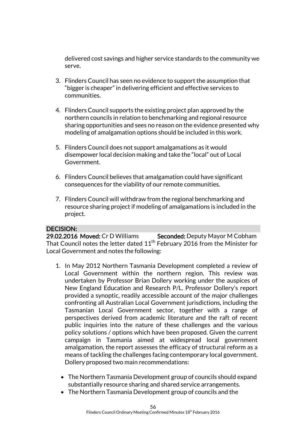delivered cost savings and higher service standards to the community we serve.

- 3. Flinders Council has seen no evidence to support the assumption that "bigger is cheaper" in delivering efficient and effective services to communities.
- 4. Flinders Council supports the existing project plan approved by the northern councils in relation to benchmarking and regional resource sharing opportunities and sees no reason on the evidence presented why modeling of amalgamation options should be included in this work.
- 5. Flinders Council does not support amalgamations as it would disempower local decision making and take the "local" out of Local Government.
- 6. Flinders Council believes that amalgamation could have significant consequences for the viability of our remote communities.
- 7. Flinders Council will withdraw from the regional benchmarking and resource sharing project if modeling of amalgamations is included in the project.

#### DECISION:

29.02.2016 Moved: Cr D Williams Seconded: Deputy Mayor M Cobham That Council notes the letter dated 11<sup>th</sup> February 2016 from the Minister for Local Government and notes the following:

- 1. In May 2012 Northern Tasmania Development completed a review of Local Government within the northern region. This review was undertaken by Professor Brian Dollery working under the auspices of New England Education and Research P/L. Professor Dollery's report provided a synoptic, readily accessible account of the major challenges confronting all Australian Local Government jurisdictions, including the Tasmanian Local Government sector, together with a range of perspectives derived from academic literature and the raft of recent public inquiries into the nature of these challenges and the various policy solutions / options which have been proposed. Given the current campaign in Tasmania aimed at widespread local government amalgamation, the report assesses the efficacy of structural reform as a means of tackling the challenges facing contemporary local government. Dollery proposed two main recommendations:
	- The Northern Tasmania Development group of councils should expand substantially resource sharing and shared service arrangements.
	- The Northern Tasmania Development group of councils and the